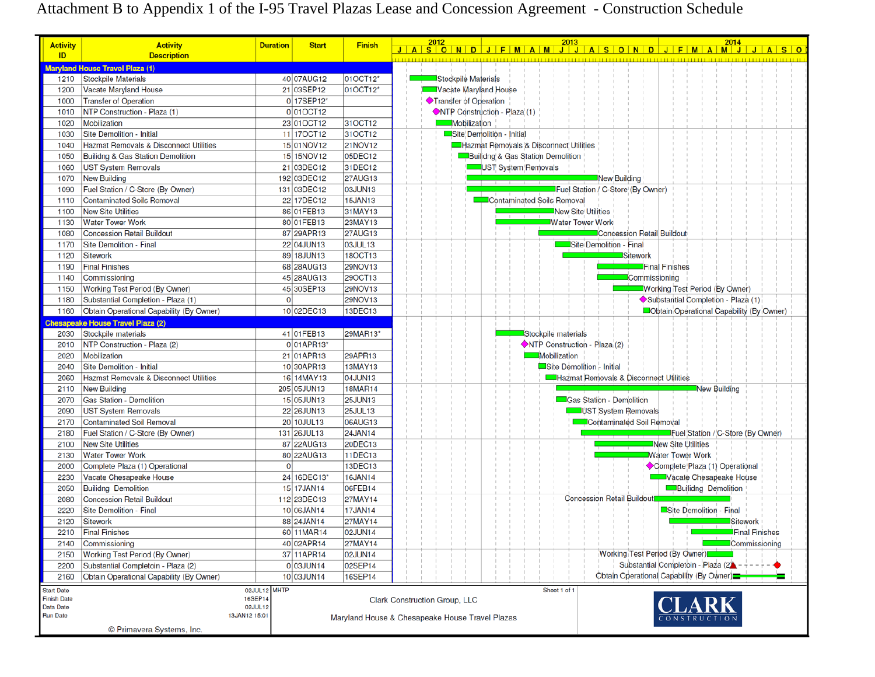# Attachment B to Appendix 1 of the I-95 Travel Plazas Lease and Concession Agreement - Construction Schedule

| <b>Activity</b>                         | <b>Activity</b>                          | <b>Duration</b> | <b>Start</b>                                    | <b>Finish</b>  | 2012                  | 2013                                   |                                        | 2014                                     |
|-----------------------------------------|------------------------------------------|-----------------|-------------------------------------------------|----------------|-----------------------|----------------------------------------|----------------------------------------|------------------------------------------|
| ID                                      | <b>Description</b>                       |                 |                                                 |                |                       |                                        |                                        | <u>JASONDJFMAMJJJASONDJFMAMJJJASO</u>    |
|                                         | aryland House Travel Plaza (1)           |                 |                                                 |                |                       |                                        |                                        |                                          |
| 1210                                    | Stockpile Materials                      |                 | 40 07AUG12                                      | 01OCT12*       | Stockpile Materials   |                                        |                                        |                                          |
| 1200                                    | Vacate Maryland House                    |                 | 21 03SEP12                                      | 01OCT12*       | Vacate Maryland House |                                        |                                        |                                          |
| 1000                                    | <b>Transfer of Operation</b>             |                 | 0 17SEP12*                                      |                | Transfer of Operation |                                        |                                        |                                          |
| 1010                                    | NTP Construction - Plaza (1)             |                 | $0 010C$ T12                                    |                |                       | NTP Construction - Plaza (1)           |                                        |                                          |
| 1020                                    | Mobilization                             |                 | 23 01 OCT12                                     | 31OCT12        | Mobilization          |                                        |                                        |                                          |
| 1030                                    | Site Demolition - Initial                |                 | 11 170CT12                                      | 31OCT12        |                       | Site Demolition - Initial              |                                        |                                          |
| 1040                                    | Hazmat Removals & Disconnect Utilities   |                 | 15 01NOV12                                      | 21NOV12        |                       | Hazmat Removals & Disconnect Utilities |                                        |                                          |
| 1050                                    | Builidng & Gas Station Demolition        |                 | 15 15NOV12                                      | 05DEC12        |                       | Builidng & Gas Station Demolition      |                                        |                                          |
| 1060                                    | <b>UST System Removals</b>               |                 | 21 03DEC12                                      | 31DEC12        |                       | UST System Removals                    |                                        |                                          |
| 1070                                    | New Building                             |                 | 192 03DEC12                                     | <b>27AUG13</b> |                       |                                        | New Building                           |                                          |
| 1090                                    | Fuel Station / C-Store (By Owner)        |                 | 131 03DEC12                                     | 03JUN13        |                       |                                        | Fuel Station / C-Store (By Owner)      |                                          |
|                                         | Contaminated Soils Removal               |                 | 22 17DEC12                                      | 15JAN13        |                       | Contaminated Soils Removal             |                                        |                                          |
| 1110                                    |                                          |                 |                                                 |                |                       |                                        |                                        |                                          |
| 1100                                    | <b>New Site Utilities</b>                |                 | 86 01 FEB13                                     | 31MAY13        |                       |                                        | New Site Utilities                     |                                          |
| 1130                                    | <b>Water Tower Work</b>                  |                 | 80 01 FEB13                                     | 23MAY13        |                       |                                        | <b>Water Tower Work</b>                |                                          |
| 1080                                    | <b>Concession Retail Buildout</b>        |                 | 87 29APR13                                      | <b>27AUG13</b> |                       |                                        | Concession Retail Buildout             |                                          |
| 1170                                    | Site Demolition - Final                  |                 | 22 04 JUN13                                     | 03JUL13        |                       |                                        | Site Demolition - Final                |                                          |
| 1120                                    | Sitework                                 |                 | 89 18 JUN13                                     | 18OCT13        |                       |                                        | Sitework                               |                                          |
| 1190                                    | <b>Final Finishes</b>                    |                 | 68 28AUG13                                      | 29NOV13        |                       |                                        |                                        | Final Finishes                           |
| 1140                                    | Commissioning                            |                 | 45 28 AUG13                                     | 29OCT13        |                       |                                        | Commissioning                          |                                          |
| 1150                                    | Working Test Period (By Owner)           |                 | 45 30SEP13                                      | 29NOV13        |                       |                                        |                                        | Working Test Period (By Owner)           |
| 1180                                    | Substantial Completion - Plaza (1)       | $\overline{0}$  |                                                 | 29NOV13        |                       |                                        |                                        | Substantial Completion - Plaza (1)       |
| 1160                                    | Obtain Operational Capability (By Owner) |                 | 10 02DEC13                                      | 13DEC13        |                       |                                        |                                        | Obtain Operational Capability (By Owner) |
|                                         | <b>Chesapeake House Travel Plaza (2)</b> |                 |                                                 |                |                       |                                        |                                        |                                          |
| 2030                                    | Stockpile materials                      |                 | 41 01 FEB13                                     | 29MAR13*       |                       | Stockpile materials                    |                                        |                                          |
| 2010                                    | NTP Construction - Plaza (2)             |                 | 001APR13*                                       |                |                       | NTP Construction - Plaza (2)           |                                        |                                          |
| 2020                                    | Mobilization                             |                 | 21 01 APR13                                     | 29APR13        |                       | Mobilization                           |                                        |                                          |
| 2040                                    | Site Demolition - Initial                |                 | 10 30 APR13                                     | 13MAY13        |                       | Site Demolition - Initial              |                                        |                                          |
| 2060                                    | Hazmat Removals & Disconnect Utilities   |                 | 16 14MAY13                                      | 04JUN13        |                       |                                        | Hazmat Removals & Disconnect Utilities |                                          |
| 2110                                    | New Building                             |                 | 205 05JUN13                                     | 18MAR14        |                       |                                        |                                        | New Building                             |
| 2070                                    | Gas Station - Demolition                 |                 | 15 05JUN13                                      | 25JUN13        |                       |                                        | Gas Station - Demolition               |                                          |
| 2090                                    | <b>UST System Removals</b>               |                 | 22 26 JUN13                                     | 25JUL13        |                       |                                        | UST System Removals                    |                                          |
| 2170                                    | <b>Contaminated Soil Removal</b>         |                 | 20 10 JUL13                                     | 06AUG13        |                       |                                        | Contaminated Soil Removal              |                                          |
| 2180                                    | Fuel Station / C-Store (By Owner)        |                 | 131 26JUL13                                     | 24JAN14        |                       |                                        |                                        | Fuel Station / C-Store (By Owner)        |
| 2100                                    | <b>New Site Utilities</b>                |                 | 87 22AUG13                                      | 20DEC13        |                       |                                        |                                        | New Site Utilities                       |
| 2130                                    | <b>Water Tower Work</b>                  |                 | 80 22AUG13                                      | 11DEC13        |                       |                                        |                                        | <b>Water Tower Work</b>                  |
| 2000                                    | Complete Plaza (1) Operational           | $\overline{0}$  |                                                 | 13DEC13        |                       |                                        |                                        | Complete Plaza (1) Operational           |
| 2230                                    | Vacate Chesapeake House                  |                 | 24 16DEC13*                                     | 16JAN14        |                       |                                        |                                        | Vacate Chesapeake House                  |
| 2050                                    | <b>Builidng Demolition</b>               |                 | 15 17JAN14                                      | 06FEB14        |                       |                                        |                                        | <b>Builidng Demolition</b>               |
| 2080                                    | <b>Concession Retail Buildout</b>        |                 | 112 23DEC13                                     | 27MAY14        |                       |                                        | <b>Concession Retail Buildout</b>      |                                          |
| 2220                                    | Site Demolition - Final                  |                 | 10 06 JAN14                                     | 17JAN14        |                       |                                        |                                        | Site Demolition - Final                  |
| 2120                                    | Sitework                                 |                 | 88 24JAN14                                      | 27MAY14        |                       |                                        |                                        | Sitework                                 |
|                                         | 2210 Final Finishes                      |                 | 60 11MAR14                                      | 02JUN14        |                       |                                        |                                        | <b>Final Finishes</b>                    |
| 2140                                    | Commissioning                            |                 | 40 02APR14                                      | 27MAY14        |                       |                                        |                                        | □Commissioning                           |
| 2150                                    | Working Test Period (By Owner)           |                 | 37 11 APR 14                                    | 02JUN14        |                       |                                        | Working Test Period (By Owner)         |                                          |
| 2200                                    | Substantial Completoin - Plaza (2)       |                 | $0 03$ JUN14                                    | 02SEP14        |                       |                                        |                                        | Substantial Completoin - Plaza (2)       |
| 2160                                    | Obtain Operational Capability (By Owner) |                 | 10 03 JUN14                                     | 16SEP14        |                       |                                        |                                        | Obtain Operational Capability (By Owner) |
|                                         |                                          |                 |                                                 |                |                       | Sheet 1 of 1                           |                                        |                                          |
| <b>Start Date</b><br><b>Finish Date</b> | 16SEP14                                  | 02JUL12 MHTP    |                                                 |                |                       |                                        |                                        |                                          |
| <b>Data Date</b>                        | 02JUL12                                  |                 | Clark Construction Group, LLC                   |                |                       |                                        |                                        |                                          |
| <b>Run Date</b>                         | 13JAN12 15:01                            |                 | Maryland House & Chesapeake House Travel Plazas |                |                       |                                        |                                        |                                          |
|                                         | © Primavera Systems, Inc.                |                 |                                                 |                |                       |                                        |                                        |                                          |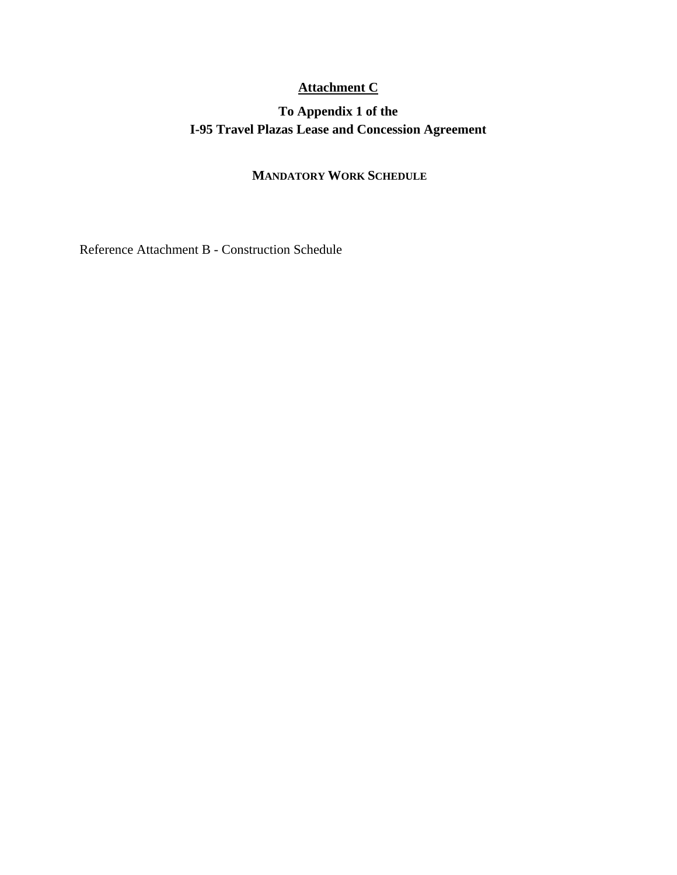## **Attachment C**

## **To Appendix 1 of the I-95 Travel Plazas Lease and Concession Agreement**

## **MANDATORY WORK SCHEDULE**

Reference Attachment B - Construction Schedule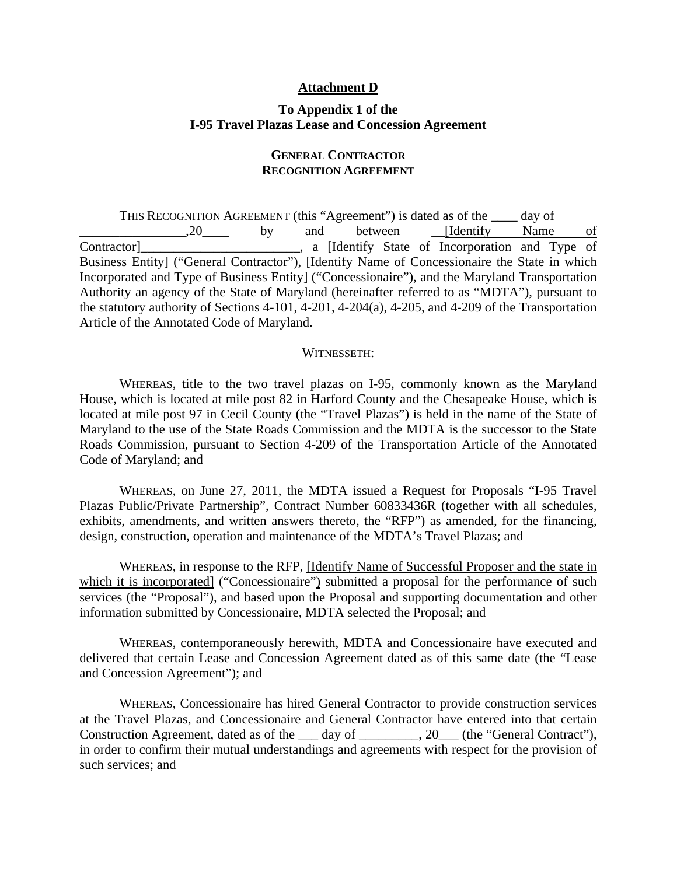#### **Attachment D**

### **To Appendix 1 of the I-95 Travel Plazas Lease and Concession Agreement**

### **GENERAL CONTRACTOR RECOGNITION AGREEMENT**

THIS RECOGNITION AGREEMENT (this "Agreement") is dated as of the \_\_\_\_ day of .20 by and between [Identify Name of Contractor]\_\_\_\_\_\_\_\_\_\_\_\_\_\_\_\_\_\_\_\_\_\_\_\_, a [Identify State of Incorporation and Type of Business Entity] ("General Contractor"), [Identify Name of Concessionaire the State in which Incorporated and Type of Business Entity] ("Concessionaire"), and the Maryland Transportation Authority an agency of the State of Maryland (hereinafter referred to as "MDTA"), pursuant to the statutory authority of Sections 4-101, 4-201, 4-204(a), 4-205, and 4-209 of the Transportation Article of the Annotated Code of Maryland.

#### WITNESSETH:

WHEREAS, title to the two travel plazas on I-95, commonly known as the Maryland House, which is located at mile post 82 in Harford County and the Chesapeake House, which is located at mile post 97 in Cecil County (the "Travel Plazas") is held in the name of the State of Maryland to the use of the State Roads Commission and the MDTA is the successor to the State Roads Commission, pursuant to Section 4-209 of the Transportation Article of the Annotated Code of Maryland; and

WHEREAS, on June 27, 2011, the MDTA issued a Request for Proposals "I-95 Travel Plazas Public/Private Partnership", Contract Number 60833436R (together with all schedules, exhibits, amendments, and written answers thereto, the "RFP") as amended, for the financing, design, construction, operation and maintenance of the MDTA's Travel Plazas; and

WHEREAS, in response to the RFP, [Identify Name of Successful Proposer and the state in which it is incorporated] ("Concessionaire") submitted a proposal for the performance of such services (the "Proposal"), and based upon the Proposal and supporting documentation and other information submitted by Concessionaire, MDTA selected the Proposal; and

WHEREAS, contemporaneously herewith, MDTA and Concessionaire have executed and delivered that certain Lease and Concession Agreement dated as of this same date (the "Lease and Concession Agreement"); and

WHEREAS, Concessionaire has hired General Contractor to provide construction services at the Travel Plazas, and Concessionaire and General Contractor have entered into that certain Construction Agreement, dated as of the day of \_\_\_\_\_\_\_, 20 (the "General Contract"), in order to confirm their mutual understandings and agreements with respect for the provision of such services; and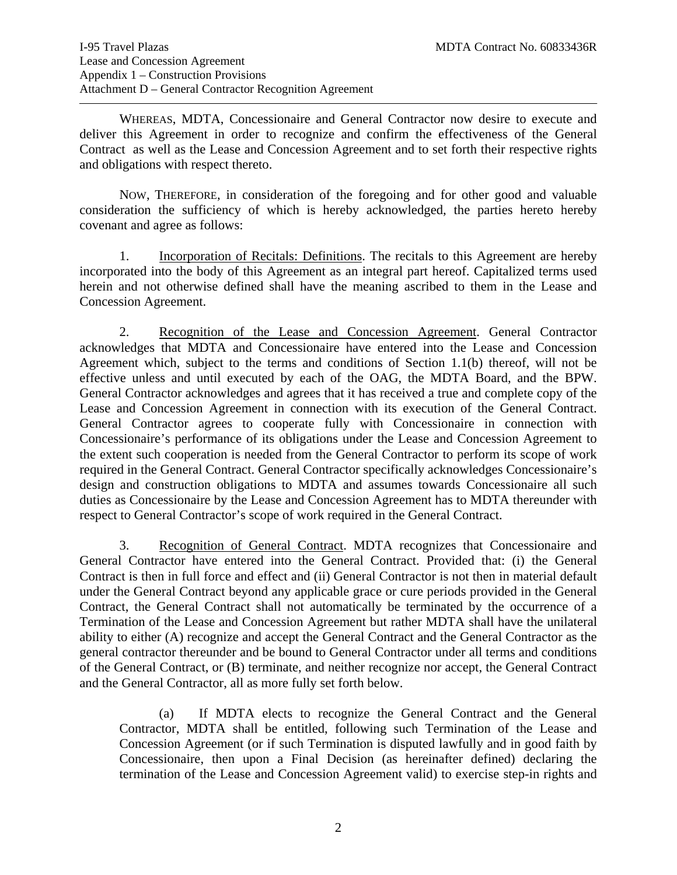WHEREAS, MDTA, Concessionaire and General Contractor now desire to execute and deliver this Agreement in order to recognize and confirm the effectiveness of the General Contract as well as the Lease and Concession Agreement and to set forth their respective rights and obligations with respect thereto.

NOW, THEREFORE, in consideration of the foregoing and for other good and valuable consideration the sufficiency of which is hereby acknowledged, the parties hereto hereby covenant and agree as follows:

1. Incorporation of Recitals: Definitions. The recitals to this Agreement are hereby incorporated into the body of this Agreement as an integral part hereof. Capitalized terms used herein and not otherwise defined shall have the meaning ascribed to them in the Lease and Concession Agreement.

2. Recognition of the Lease and Concession Agreement. General Contractor acknowledges that MDTA and Concessionaire have entered into the Lease and Concession Agreement which, subject to the terms and conditions of Section 1.1(b) thereof, will not be effective unless and until executed by each of the OAG, the MDTA Board, and the BPW. General Contractor acknowledges and agrees that it has received a true and complete copy of the Lease and Concession Agreement in connection with its execution of the General Contract. General Contractor agrees to cooperate fully with Concessionaire in connection with Concessionaire's performance of its obligations under the Lease and Concession Agreement to the extent such cooperation is needed from the General Contractor to perform its scope of work required in the General Contract. General Contractor specifically acknowledges Concessionaire's design and construction obligations to MDTA and assumes towards Concessionaire all such duties as Concessionaire by the Lease and Concession Agreement has to MDTA thereunder with respect to General Contractor's scope of work required in the General Contract.

3. Recognition of General Contract. MDTA recognizes that Concessionaire and General Contractor have entered into the General Contract. Provided that: (i) the General Contract is then in full force and effect and (ii) General Contractor is not then in material default under the General Contract beyond any applicable grace or cure periods provided in the General Contract, the General Contract shall not automatically be terminated by the occurrence of a Termination of the Lease and Concession Agreement but rather MDTA shall have the unilateral ability to either (A) recognize and accept the General Contract and the General Contractor as the general contractor thereunder and be bound to General Contractor under all terms and conditions of the General Contract, or (B) terminate, and neither recognize nor accept, the General Contract and the General Contractor, all as more fully set forth below.

(a) If MDTA elects to recognize the General Contract and the General Contractor, MDTA shall be entitled, following such Termination of the Lease and Concession Agreement (or if such Termination is disputed lawfully and in good faith by Concessionaire, then upon a Final Decision (as hereinafter defined) declaring the termination of the Lease and Concession Agreement valid) to exercise step-in rights and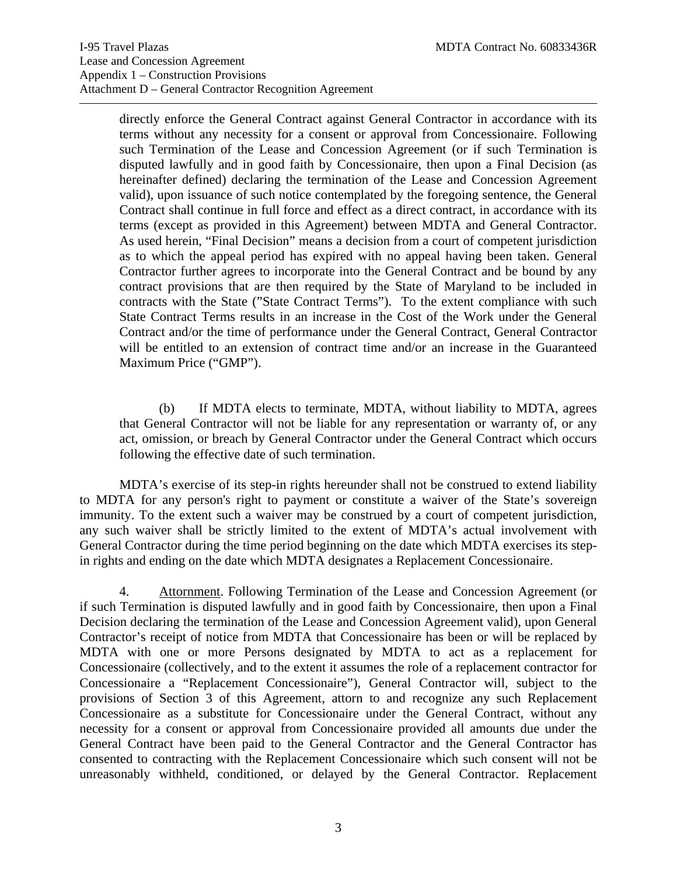directly enforce the General Contract against General Contractor in accordance with its terms without any necessity for a consent or approval from Concessionaire. Following such Termination of the Lease and Concession Agreement (or if such Termination is disputed lawfully and in good faith by Concessionaire, then upon a Final Decision (as hereinafter defined) declaring the termination of the Lease and Concession Agreement valid), upon issuance of such notice contemplated by the foregoing sentence, the General Contract shall continue in full force and effect as a direct contract, in accordance with its terms (except as provided in this Agreement) between MDTA and General Contractor. As used herein, "Final Decision" means a decision from a court of competent jurisdiction as to which the appeal period has expired with no appeal having been taken. General Contractor further agrees to incorporate into the General Contract and be bound by any contract provisions that are then required by the State of Maryland to be included in contracts with the State ("State Contract Terms"). To the extent compliance with such State Contract Terms results in an increase in the Cost of the Work under the General Contract and/or the time of performance under the General Contract, General Contractor will be entitled to an extension of contract time and/or an increase in the Guaranteed Maximum Price ("GMP").

(b) If MDTA elects to terminate, MDTA, without liability to MDTA, agrees that General Contractor will not be liable for any representation or warranty of, or any act, omission, or breach by General Contractor under the General Contract which occurs following the effective date of such termination.

MDTA's exercise of its step-in rights hereunder shall not be construed to extend liability to MDTA for any person's right to payment or constitute a waiver of the State's sovereign immunity. To the extent such a waiver may be construed by a court of competent jurisdiction, any such waiver shall be strictly limited to the extent of MDTA's actual involvement with General Contractor during the time period beginning on the date which MDTA exercises its stepin rights and ending on the date which MDTA designates a Replacement Concessionaire.

4. Attornment. Following Termination of the Lease and Concession Agreement (or if such Termination is disputed lawfully and in good faith by Concessionaire, then upon a Final Decision declaring the termination of the Lease and Concession Agreement valid), upon General Contractor's receipt of notice from MDTA that Concessionaire has been or will be replaced by MDTA with one or more Persons designated by MDTA to act as a replacement for Concessionaire (collectively, and to the extent it assumes the role of a replacement contractor for Concessionaire a "Replacement Concessionaire"), General Contractor will, subject to the provisions of Section 3 of this Agreement, attorn to and recognize any such Replacement Concessionaire as a substitute for Concessionaire under the General Contract, without any necessity for a consent or approval from Concessionaire provided all amounts due under the General Contract have been paid to the General Contractor and the General Contractor has consented to contracting with the Replacement Concessionaire which such consent will not be unreasonably withheld, conditioned, or delayed by the General Contractor. Replacement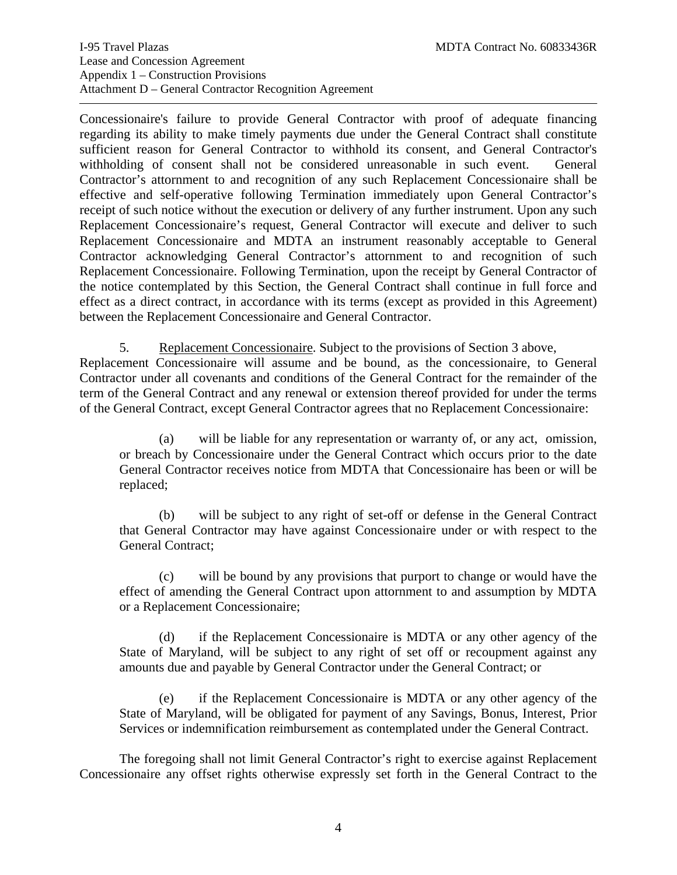Concessionaire's failure to provide General Contractor with proof of adequate financing regarding its ability to make timely payments due under the General Contract shall constitute sufficient reason for General Contractor to withhold its consent, and General Contractor's withholding of consent shall not be considered unreasonable in such event. General Contractor's attornment to and recognition of any such Replacement Concessionaire shall be effective and self-operative following Termination immediately upon General Contractor's receipt of such notice without the execution or delivery of any further instrument. Upon any such Replacement Concessionaire's request, General Contractor will execute and deliver to such Replacement Concessionaire and MDTA an instrument reasonably acceptable to General Contractor acknowledging General Contractor's attornment to and recognition of such Replacement Concessionaire. Following Termination, upon the receipt by General Contractor of the notice contemplated by this Section, the General Contract shall continue in full force and effect as a direct contract, in accordance with its terms (except as provided in this Agreement) between the Replacement Concessionaire and General Contractor.

5. Replacement Concessionaire. Subject to the provisions of Section 3 above,

Replacement Concessionaire will assume and be bound, as the concessionaire, to General Contractor under all covenants and conditions of the General Contract for the remainder of the term of the General Contract and any renewal or extension thereof provided for under the terms of the General Contract, except General Contractor agrees that no Replacement Concessionaire:

(a) will be liable for any representation or warranty of, or any act, omission, or breach by Concessionaire under the General Contract which occurs prior to the date General Contractor receives notice from MDTA that Concessionaire has been or will be replaced;

(b) will be subject to any right of set-off or defense in the General Contract that General Contractor may have against Concessionaire under or with respect to the General Contract;

(c) will be bound by any provisions that purport to change or would have the effect of amending the General Contract upon attornment to and assumption by MDTA or a Replacement Concessionaire;

(d) if the Replacement Concessionaire is MDTA or any other agency of the State of Maryland, will be subject to any right of set off or recoupment against any amounts due and payable by General Contractor under the General Contract; or

(e) if the Replacement Concessionaire is MDTA or any other agency of the State of Maryland, will be obligated for payment of any Savings, Bonus, Interest, Prior Services or indemnification reimbursement as contemplated under the General Contract.

The foregoing shall not limit General Contractor's right to exercise against Replacement Concessionaire any offset rights otherwise expressly set forth in the General Contract to the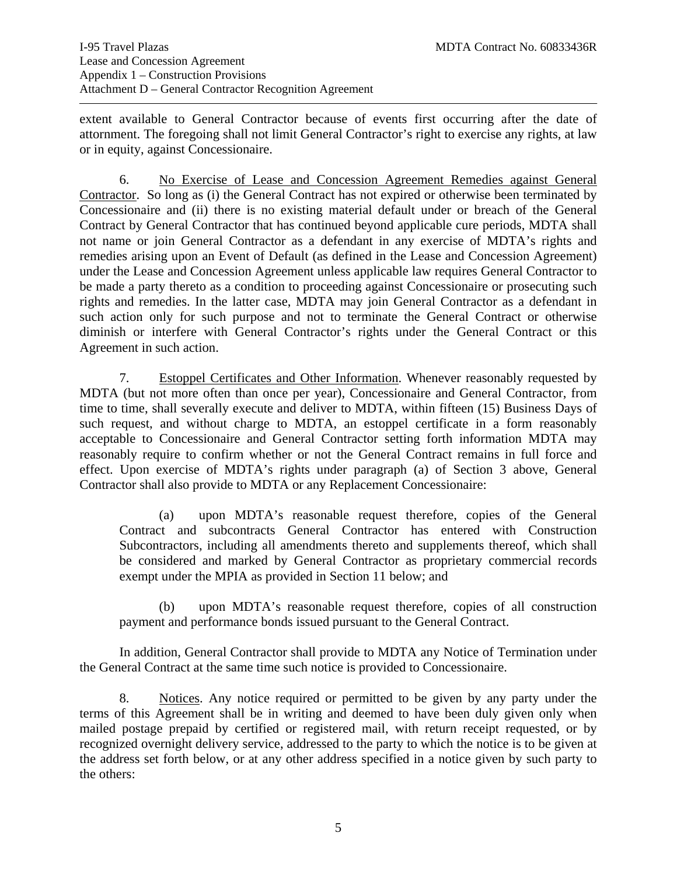extent available to General Contractor because of events first occurring after the date of attornment. The foregoing shall not limit General Contractor's right to exercise any rights, at law or in equity, against Concessionaire.

6. No Exercise of Lease and Concession Agreement Remedies against General Contractor. So long as (i) the General Contract has not expired or otherwise been terminated by Concessionaire and (ii) there is no existing material default under or breach of the General Contract by General Contractor that has continued beyond applicable cure periods, MDTA shall not name or join General Contractor as a defendant in any exercise of MDTA's rights and remedies arising upon an Event of Default (as defined in the Lease and Concession Agreement) under the Lease and Concession Agreement unless applicable law requires General Contractor to be made a party thereto as a condition to proceeding against Concessionaire or prosecuting such rights and remedies. In the latter case, MDTA may join General Contractor as a defendant in such action only for such purpose and not to terminate the General Contract or otherwise diminish or interfere with General Contractor's rights under the General Contract or this Agreement in such action.

7. Estoppel Certificates and Other Information. Whenever reasonably requested by MDTA (but not more often than once per year), Concessionaire and General Contractor, from time to time, shall severally execute and deliver to MDTA, within fifteen (15) Business Days of such request, and without charge to MDTA, an estoppel certificate in a form reasonably acceptable to Concessionaire and General Contractor setting forth information MDTA may reasonably require to confirm whether or not the General Contract remains in full force and effect. Upon exercise of MDTA's rights under paragraph (a) of Section 3 above, General Contractor shall also provide to MDTA or any Replacement Concessionaire:

(a) upon MDTA's reasonable request therefore, copies of the General Contract and subcontracts General Contractor has entered with Construction Subcontractors, including all amendments thereto and supplements thereof, which shall be considered and marked by General Contractor as proprietary commercial records exempt under the MPIA as provided in Section 11 below; and

 (b) upon MDTA's reasonable request therefore, copies of all construction payment and performance bonds issued pursuant to the General Contract.

In addition, General Contractor shall provide to MDTA any Notice of Termination under the General Contract at the same time such notice is provided to Concessionaire.

8. Notices. Any notice required or permitted to be given by any party under the terms of this Agreement shall be in writing and deemed to have been duly given only when mailed postage prepaid by certified or registered mail, with return receipt requested, or by recognized overnight delivery service, addressed to the party to which the notice is to be given at the address set forth below, or at any other address specified in a notice given by such party to the others: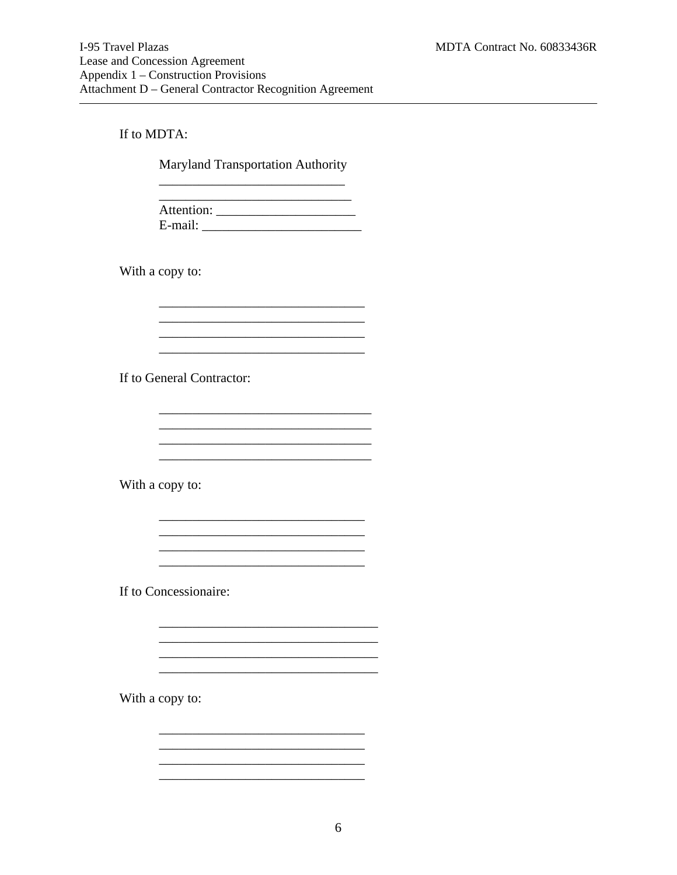#### If to MDTA:

**Maryland Transportation Authority** 

E-mail:

<u> 1989 - Jan James James Jan James James Jan James James Jan James James Jan Jan James James Jan Jan James Jan</u>

<u> 2000 - Jan James James Jan James James James James James James James James James James James James James Jam</u>

<u> 1989 - Johann John Stone, mars eta biztanleria (</u> 

With a copy to:

If to General Contractor:

With a copy to:

If to Concessionaire:

With a copy to: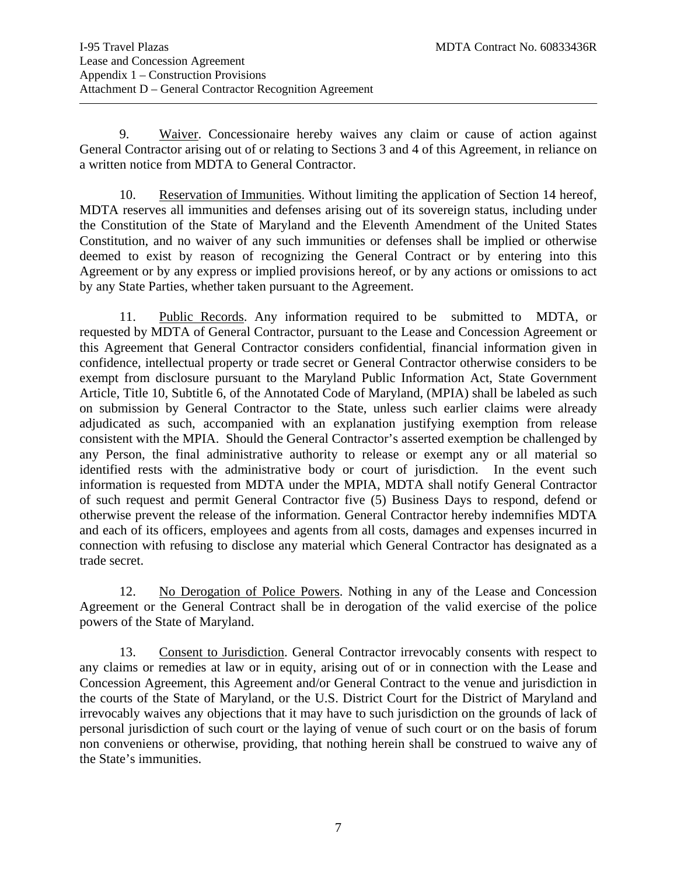9. Waiver. Concessionaire hereby waives any claim or cause of action against General Contractor arising out of or relating to Sections 3 and 4 of this Agreement, in reliance on a written notice from MDTA to General Contractor.

 10. Reservation of Immunities. Without limiting the application of Section 14 hereof, MDTA reserves all immunities and defenses arising out of its sovereign status, including under the Constitution of the State of Maryland and the Eleventh Amendment of the United States Constitution, and no waiver of any such immunities or defenses shall be implied or otherwise deemed to exist by reason of recognizing the General Contract or by entering into this Agreement or by any express or implied provisions hereof, or by any actions or omissions to act by any State Parties, whether taken pursuant to the Agreement.

 11. Public Records. Any information required to be submitted to MDTA, or requested by MDTA of General Contractor, pursuant to the Lease and Concession Agreement or this Agreement that General Contractor considers confidential, financial information given in confidence, intellectual property or trade secret or General Contractor otherwise considers to be exempt from disclosure pursuant to the Maryland Public Information Act, State Government Article, Title 10, Subtitle 6, of the Annotated Code of Maryland, (MPIA) shall be labeled as such on submission by General Contractor to the State, unless such earlier claims were already adjudicated as such, accompanied with an explanation justifying exemption from release consistent with the MPIA. Should the General Contractor's asserted exemption be challenged by any Person, the final administrative authority to release or exempt any or all material so identified rests with the administrative body or court of jurisdiction. In the event such information is requested from MDTA under the MPIA, MDTA shall notify General Contractor of such request and permit General Contractor five (5) Business Days to respond, defend or otherwise prevent the release of the information. General Contractor hereby indemnifies MDTA and each of its officers, employees and agents from all costs, damages and expenses incurred in connection with refusing to disclose any material which General Contractor has designated as a trade secret.

 12. No Derogation of Police Powers. Nothing in any of the Lease and Concession Agreement or the General Contract shall be in derogation of the valid exercise of the police powers of the State of Maryland.

13. Consent to Jurisdiction. General Contractor irrevocably consents with respect to any claims or remedies at law or in equity, arising out of or in connection with the Lease and Concession Agreement, this Agreement and/or General Contract to the venue and jurisdiction in the courts of the State of Maryland, or the U.S. District Court for the District of Maryland and irrevocably waives any objections that it may have to such jurisdiction on the grounds of lack of personal jurisdiction of such court or the laying of venue of such court or on the basis of forum non conveniens or otherwise, providing, that nothing herein shall be construed to waive any of the State's immunities.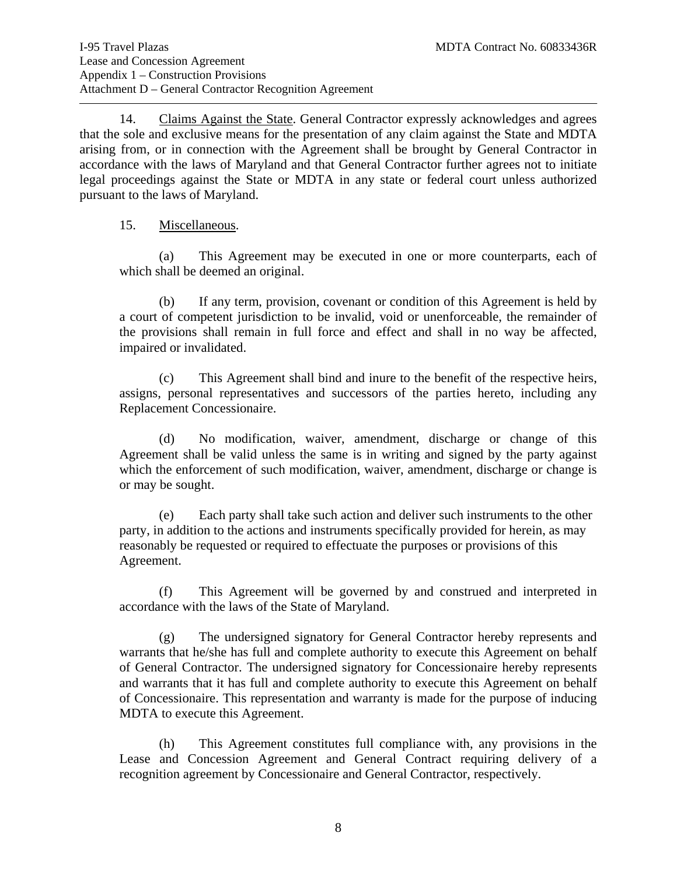14. Claims Against the State. General Contractor expressly acknowledges and agrees that the sole and exclusive means for the presentation of any claim against the State and MDTA arising from, or in connection with the Agreement shall be brought by General Contractor in accordance with the laws of Maryland and that General Contractor further agrees not to initiate legal proceedings against the State or MDTA in any state or federal court unless authorized pursuant to the laws of Maryland.

#### 15. Miscellaneous.

(a) This Agreement may be executed in one or more counterparts, each of which shall be deemed an original.

(b) If any term, provision, covenant or condition of this Agreement is held by a court of competent jurisdiction to be invalid, void or unenforceable, the remainder of the provisions shall remain in full force and effect and shall in no way be affected, impaired or invalidated.

(c) This Agreement shall bind and inure to the benefit of the respective heirs, assigns, personal representatives and successors of the parties hereto, including any Replacement Concessionaire.

(d) No modification, waiver, amendment, discharge or change of this Agreement shall be valid unless the same is in writing and signed by the party against which the enforcement of such modification, waiver, amendment, discharge or change is or may be sought.

(e) Each party shall take such action and deliver such instruments to the other party, in addition to the actions and instruments specifically provided for herein, as may reasonably be requested or required to effectuate the purposes or provisions of this Agreement.

(f) This Agreement will be governed by and construed and interpreted in accordance with the laws of the State of Maryland.

(g) The undersigned signatory for General Contractor hereby represents and warrants that he/she has full and complete authority to execute this Agreement on behalf of General Contractor. The undersigned signatory for Concessionaire hereby represents and warrants that it has full and complete authority to execute this Agreement on behalf of Concessionaire. This representation and warranty is made for the purpose of inducing MDTA to execute this Agreement.

(h) This Agreement constitutes full compliance with, any provisions in the Lease and Concession Agreement and General Contract requiring delivery of a recognition agreement by Concessionaire and General Contractor, respectively.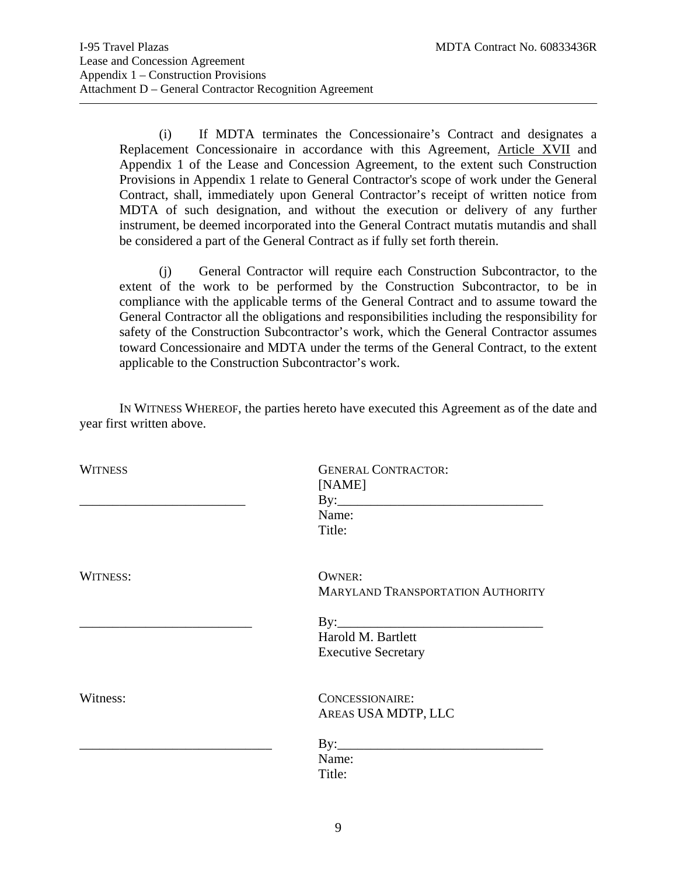(i) If MDTA terminates the Concessionaire's Contract and designates a Replacement Concessionaire in accordance with this Agreement, Article XVII and Appendix 1 of the Lease and Concession Agreement, to the extent such Construction Provisions in Appendix 1 relate to General Contractor's scope of work under the General Contract, shall, immediately upon General Contractor's receipt of written notice from MDTA of such designation, and without the execution or delivery of any further instrument, be deemed incorporated into the General Contract mutatis mutandis and shall be considered a part of the General Contract as if fully set forth therein.

(j) General Contractor will require each Construction Subcontractor, to the extent of the work to be performed by the Construction Subcontractor, to be in compliance with the applicable terms of the General Contract and to assume toward the General Contractor all the obligations and responsibilities including the responsibility for safety of the Construction Subcontractor's work, which the General Contractor assumes toward Concessionaire and MDTA under the terms of the General Contract, to the extent applicable to the Construction Subcontractor's work.

 IN WITNESS WHEREOF, the parties hereto have executed this Agreement as of the date and year first written above.

| <b>WITNESS</b> | <b>GENERAL CONTRACTOR:</b>               |
|----------------|------------------------------------------|
|                | [NAME]                                   |
|                | $\mathbf{By:}\_\_\_\_\_\$                |
|                | Name:                                    |
|                | Title:                                   |
| WITNESS:       | <b>OWNER:</b>                            |
|                | <b>MARYLAND TRANSPORTATION AUTHORITY</b> |
|                |                                          |
|                | Harold M. Bartlett                       |
|                | <b>Executive Secretary</b>               |
| Witness:       | <b>CONCESSIONAIRE:</b>                   |
|                | AREAS USA MDTP, LLC                      |
|                | $\mathrm{By:}\_\_\_\_\_\_\_\_$           |
|                | Name:                                    |
|                | Title:                                   |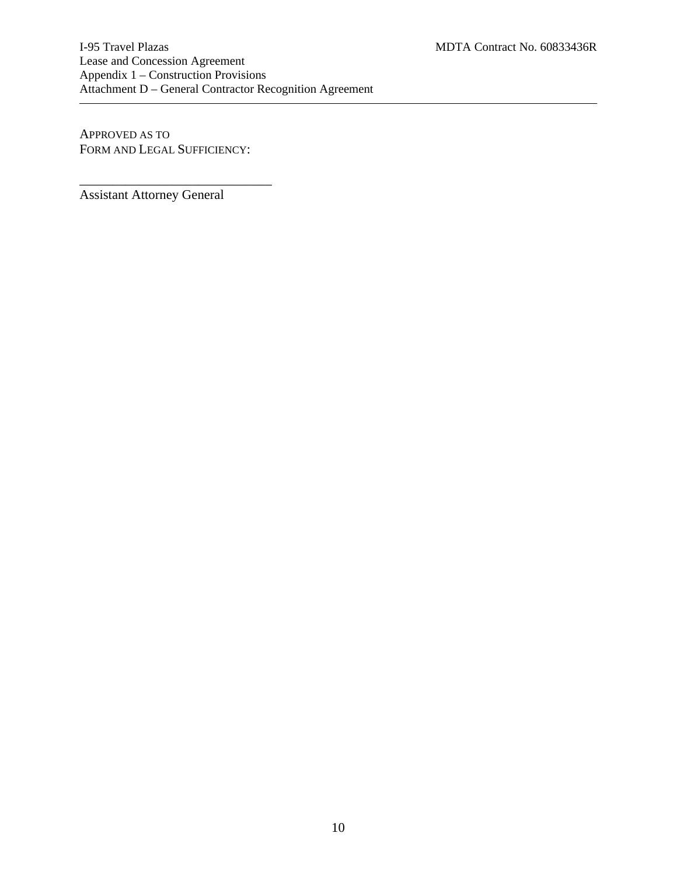I-95 Travel Plazas MDTA Contract No. 60833436R Lease and Concession Agreement Appendix 1 – Construction Provisions Attachment D – General Contractor Recognition Agreement

APPROVED AS TO FORM AND LEGAL SUFFICIENCY:

\_\_\_\_\_\_\_\_\_\_\_\_\_\_\_\_\_\_\_\_\_\_\_\_\_\_\_\_\_

Assistant Attorney General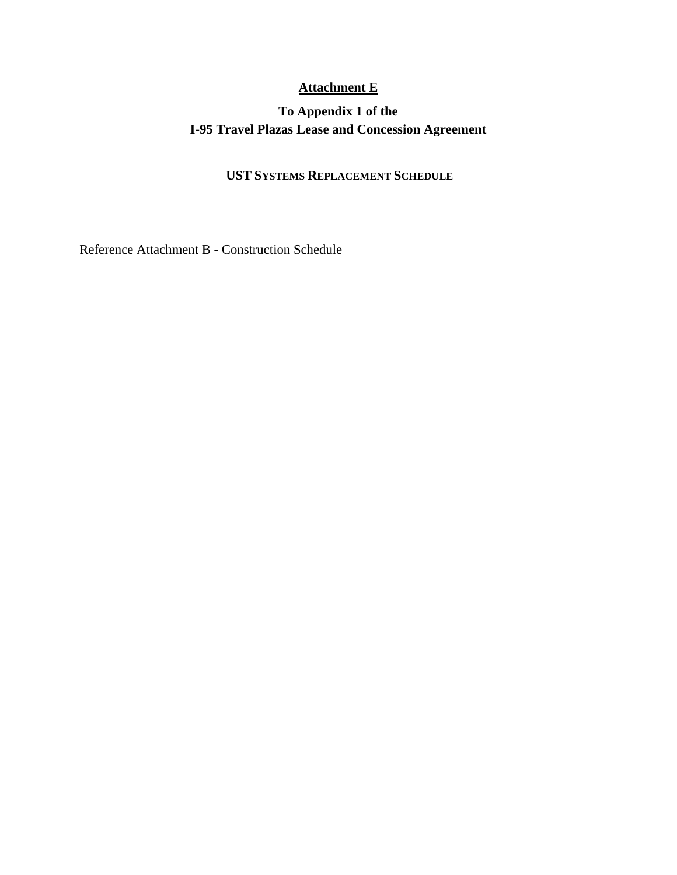## **Attachment E**

## **To Appendix 1 of the I-95 Travel Plazas Lease and Concession Agreement**

## **UST SYSTEMS REPLACEMENT SCHEDULE**

Reference Attachment B - Construction Schedule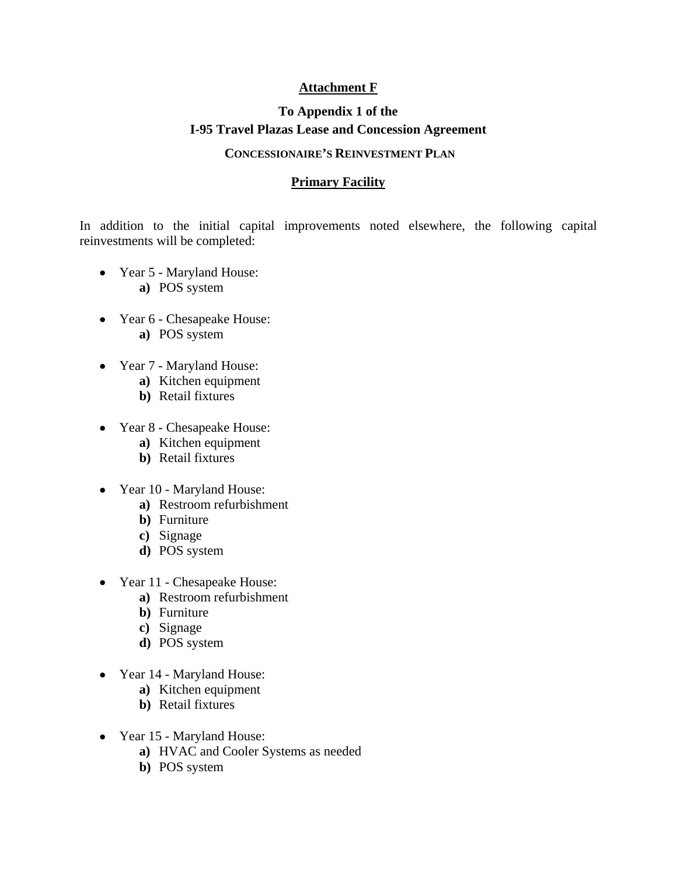### **Attachment F**

## **To Appendix 1 of the I-95 Travel Plazas Lease and Concession Agreement**

### **CONCESSIONAIRE'S REINVESTMENT PLAN**

### **Primary Facility**

In addition to the initial capital improvements noted elsewhere, the following capital reinvestments will be completed:

- Year 5 Maryland House: **a)** POS system
- Year 6 Chesapeake House: **a)** POS system
- Year 7 Maryland House:
	- **a)** Kitchen equipment
	- **b)** Retail fixtures
- Year 8 Chesapeake House:
	- **a)** Kitchen equipment
	- **b)** Retail fixtures
- Year 10 Maryland House:
	- **a)** Restroom refurbishment
	- **b)** Furniture
	- **c)** Signage
	- **d)** POS system
- Year 11 Chesapeake House:
	- **a)** Restroom refurbishment
	- **b)** Furniture
	- **c)** Signage
	- **d)** POS system
- Year 14 Maryland House:
	- **a)** Kitchen equipment
	- **b)** Retail fixtures
- Year 15 Maryland House:
	- **a)** HVAC and Cooler Systems as needed
	- **b)** POS system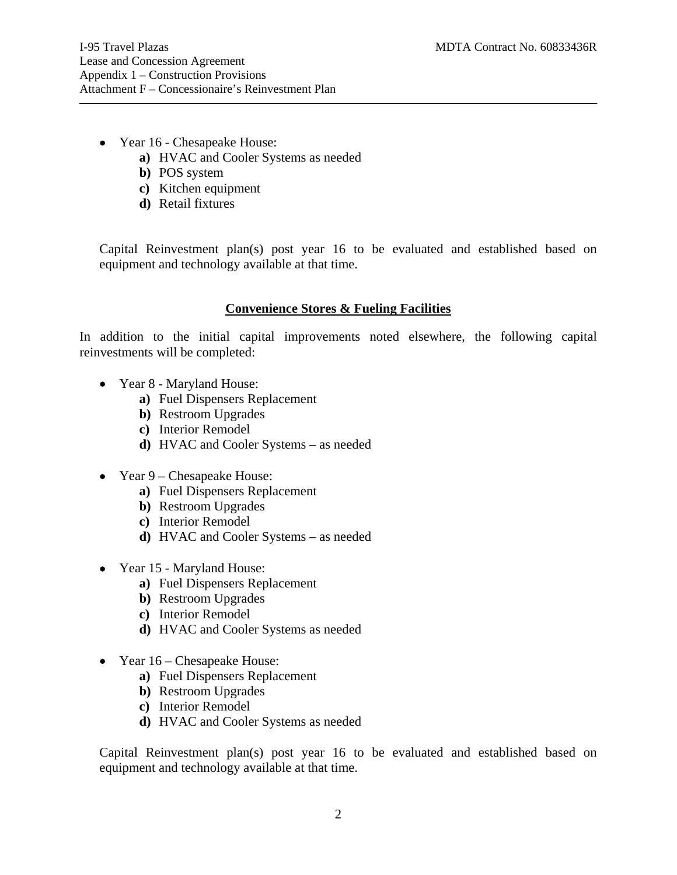- Year 16 Chesapeake House:
	- **a)** HVAC and Cooler Systems as needed
	- **b)** POS system
	- **c)** Kitchen equipment
	- **d)** Retail fixtures

Capital Reinvestment plan(s) post year 16 to be evaluated and established based on equipment and technology available at that time.

#### **Convenience Stores & Fueling Facilities**

In addition to the initial capital improvements noted elsewhere, the following capital reinvestments will be completed:

- Year 8 Maryland House:
	- **a)** Fuel Dispensers Replacement
	- **b)** Restroom Upgrades
	- **c)** Interior Remodel
	- **d)** HVAC and Cooler Systems as needed
- Year 9 Chesapeake House:
	- **a)** Fuel Dispensers Replacement
	- **b)** Restroom Upgrades
	- **c)** Interior Remodel
	- **d)** HVAC and Cooler Systems as needed
- Year 15 Maryland House:
	- **a)** Fuel Dispensers Replacement
	- **b)** Restroom Upgrades
	- **c)** Interior Remodel
	- **d)** HVAC and Cooler Systems as needed
- Year 16 Chesapeake House:
	- **a)** Fuel Dispensers Replacement
	- **b)** Restroom Upgrades
	- **c)** Interior Remodel
	- **d)** HVAC and Cooler Systems as needed

Capital Reinvestment plan(s) post year 16 to be evaluated and established based on equipment and technology available at that time.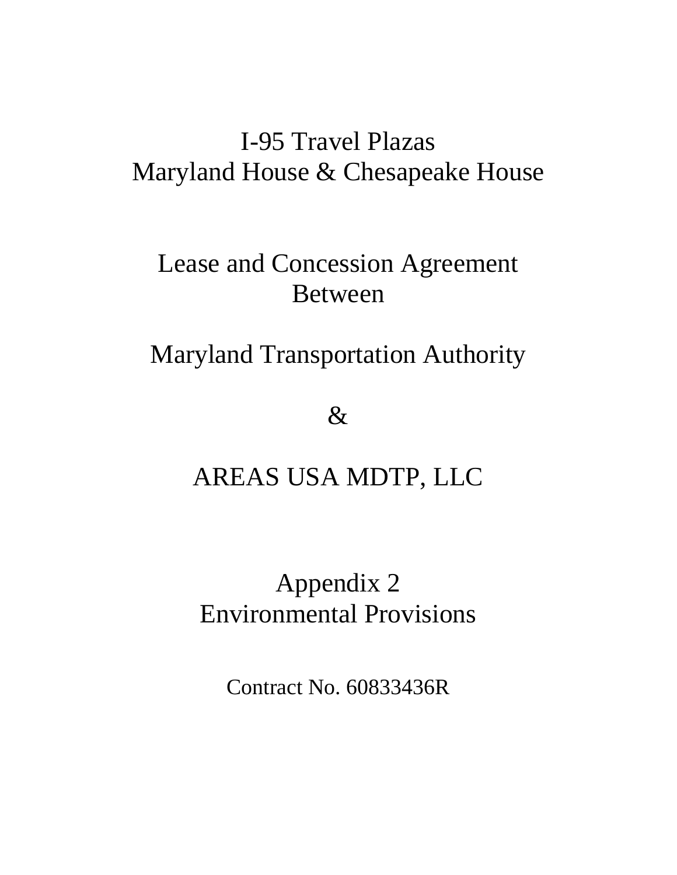# I-95 Travel Plazas Maryland House & Chesapeake House

# Lease and Concession Agreement Between

# Maryland Transportation Authority

 $\&$ 

# AREAS USA MDTP, LLC

# Appendix 2 Environmental Provisions

Contract No. 60833436R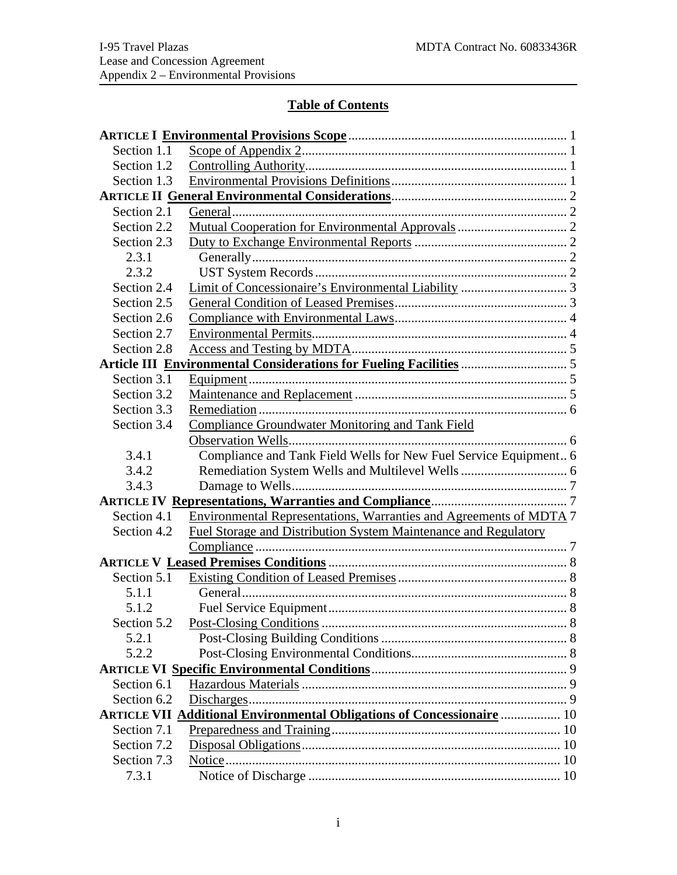$\overline{\phantom{a}}$ 

## **Table of Contents**

| Section 1.1 |                                                                               |
|-------------|-------------------------------------------------------------------------------|
| Section 1.2 |                                                                               |
| Section 1.3 |                                                                               |
|             |                                                                               |
| Section 2.1 |                                                                               |
| Section 2.2 |                                                                               |
| Section 2.3 |                                                                               |
| 2.3.1       |                                                                               |
| 2.3.2       |                                                                               |
| Section 2.4 |                                                                               |
| Section 2.5 |                                                                               |
| Section 2.6 |                                                                               |
| Section 2.7 |                                                                               |
| Section 2.8 |                                                                               |
|             |                                                                               |
| Section 3.1 |                                                                               |
| Section 3.2 |                                                                               |
| Section 3.3 |                                                                               |
| Section 3.4 | <b>Compliance Groundwater Monitoring and Tank Field</b>                       |
|             |                                                                               |
| 3.4.1       | Compliance and Tank Field Wells for New Fuel Service Equipment 6              |
| 3.4.2       |                                                                               |
| 3.4.3       |                                                                               |
|             |                                                                               |
| Section 4.1 | Environmental Representations, Warranties and Agreements of MDTA 7            |
| Section 4.2 | <b>Fuel Storage and Distribution System Maintenance and Regulatory</b>        |
|             |                                                                               |
|             |                                                                               |
| Section 5.1 |                                                                               |
| 5.1.1       |                                                                               |
| 5.1.2       |                                                                               |
|             |                                                                               |
| 5.2.1       |                                                                               |
| 5.2.2       |                                                                               |
|             |                                                                               |
| Section 6.1 |                                                                               |
| Section 6.2 |                                                                               |
|             | <b>ARTICLE VII Additional Environmental Obligations of Concessionaire  10</b> |
| Section 7.1 |                                                                               |
| Section 7.2 |                                                                               |
| Section 7.3 |                                                                               |
| 7.3.1       |                                                                               |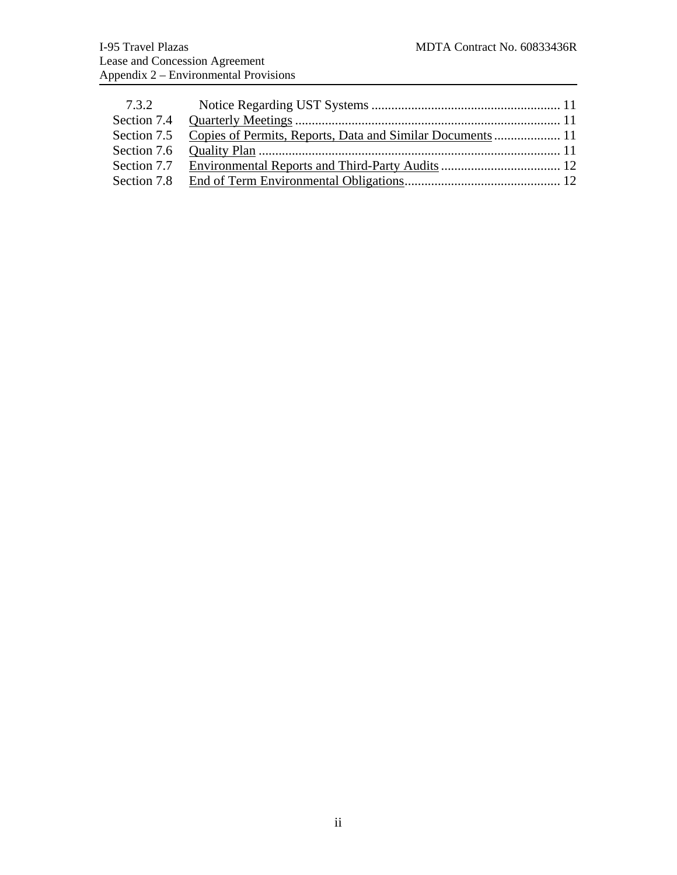| 7.3.2 |  |
|-------|--|
|       |  |
|       |  |
|       |  |
|       |  |
|       |  |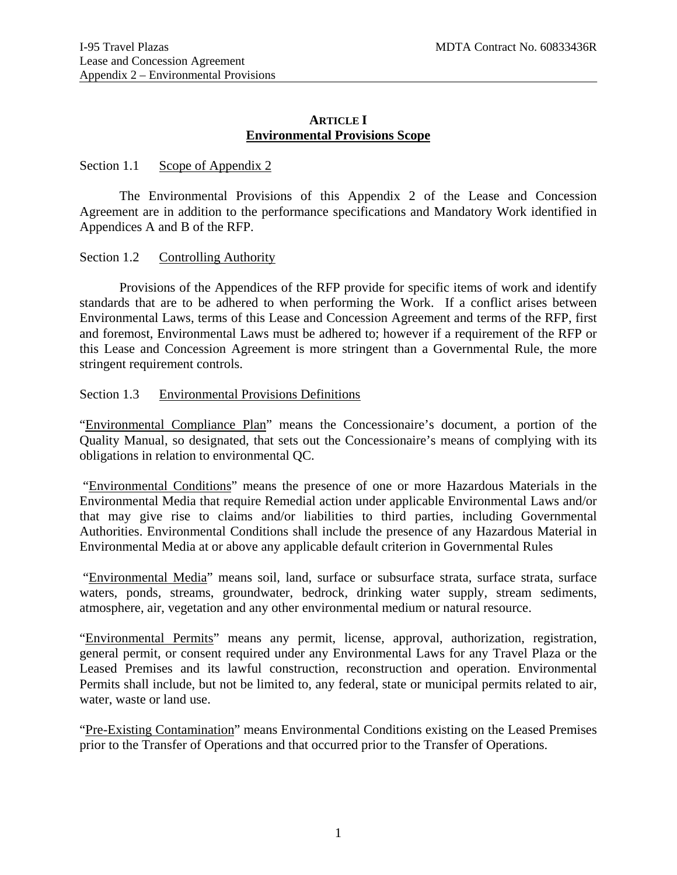### **ARTICLE I Environmental Provisions Scope**

#### <span id="page-18-1"></span><span id="page-18-0"></span>Section 1.1 Scope of Appendix 2

 The Environmental Provisions of this Appendix 2 of the Lease and Concession Agreement are in addition to the performance specifications and Mandatory Work identified in Appendices A and B of the RFP.

#### <span id="page-18-2"></span>Section 1.2 Controlling Authority

Provisions of the Appendices of the RFP provide for specific items of work and identify standards that are to be adhered to when performing the Work. If a conflict arises between Environmental Laws, terms of this Lease and Concession Agreement and terms of the RFP, first and foremost, Environmental Laws must be adhered to; however if a requirement of the RFP or this Lease and Concession Agreement is more stringent than a Governmental Rule, the more stringent requirement controls.

#### <span id="page-18-3"></span>Section 1.3 Environmental Provisions Definitions

"Environmental Compliance Plan" means the Concessionaire's document, a portion of the Quality Manual, so designated, that sets out the Concessionaire's means of complying with its obligations in relation to environmental QC.

 "Environmental Conditions" means the presence of one or more Hazardous Materials in the Environmental Media that require Remedial action under applicable Environmental Laws and/or that may give rise to claims and/or liabilities to third parties, including Governmental Authorities. Environmental Conditions shall include the presence of any Hazardous Material in Environmental Media at or above any applicable default criterion in Governmental Rules

 "Environmental Media" means soil, land, surface or subsurface strata, surface strata, surface waters, ponds, streams, groundwater, bedrock, drinking water supply, stream sediments, atmosphere, air, vegetation and any other environmental medium or natural resource.

"Environmental Permits" means any permit, license, approval, authorization, registration, general permit, or consent required under any Environmental Laws for any Travel Plaza or the Leased Premises and its lawful construction, reconstruction and operation. Environmental Permits shall include, but not be limited to, any federal, state or municipal permits related to air, water, waste or land use.

"Pre-Existing Contamination" means Environmental Conditions existing on the Leased Premises prior to the Transfer of Operations and that occurred prior to the Transfer of Operations.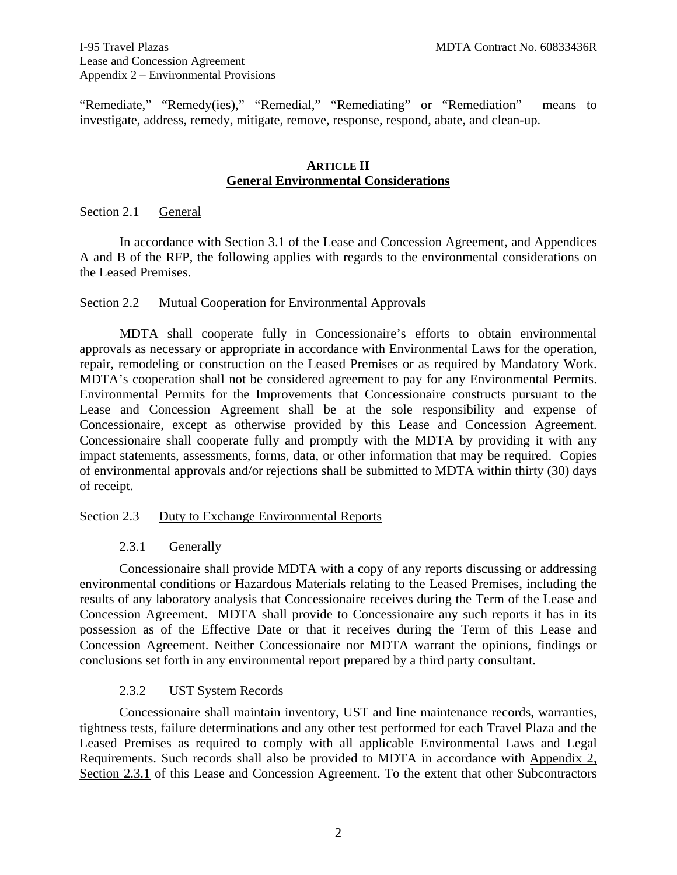"Remediate," "Remedy(ies)," "Remedial," "Remediating" or "Remediation" means to investigate, address, remedy, mitigate, remove, response, respond, abate, and clean-up.

#### **ARTICLE II General Environmental Considerations**

#### <span id="page-19-1"></span><span id="page-19-0"></span>Section 2.1 General

 In accordance with Section 3.1 of the Lease and Concession Agreement, and Appendices A and B of the RFP, the following applies with regards to the environmental considerations on the Leased Premises.

#### <span id="page-19-2"></span>Section 2.2 Mutual Cooperation for Environmental Approvals

MDTA shall cooperate fully in Concessionaire's efforts to obtain environmental approvals as necessary or appropriate in accordance with Environmental Laws for the operation, repair, remodeling or construction on the Leased Premises or as required by Mandatory Work. MDTA's cooperation shall not be considered agreement to pay for any Environmental Permits. Environmental Permits for the Improvements that Concessionaire constructs pursuant to the Lease and Concession Agreement shall be at the sole responsibility and expense of Concessionaire, except as otherwise provided by this Lease and Concession Agreement. Concessionaire shall cooperate fully and promptly with the MDTA by providing it with any impact statements, assessments, forms, data, or other information that may be required. Copies of environmental approvals and/or rejections shall be submitted to MDTA within thirty (30) days of receipt.

#### <span id="page-19-3"></span>Section 2.3 Duty to Exchange Environmental Reports

#### 2.3.1 Generally

<span id="page-19-4"></span> Concessionaire shall provide MDTA with a copy of any reports discussing or addressing environmental conditions or Hazardous Materials relating to the Leased Premises, including the results of any laboratory analysis that Concessionaire receives during the Term of the Lease and Concession Agreement. MDTA shall provide to Concessionaire any such reports it has in its possession as of the Effective Date or that it receives during the Term of this Lease and Concession Agreement. Neither Concessionaire nor MDTA warrant the opinions, findings or conclusions set forth in any environmental report prepared by a third party consultant.

#### 2.3.2 UST System Records

<span id="page-19-5"></span> Concessionaire shall maintain inventory, UST and line maintenance records, warranties, tightness tests, failure determinations and any other test performed for each Travel Plaza and the Leased Premises as required to comply with all applicable Environmental Laws and Legal Requirements. Such records shall also be provided to MDTA in accordance with Appendix 2, Section 2.3.1 of this Lease and Concession Agreement. To the extent that other Subcontractors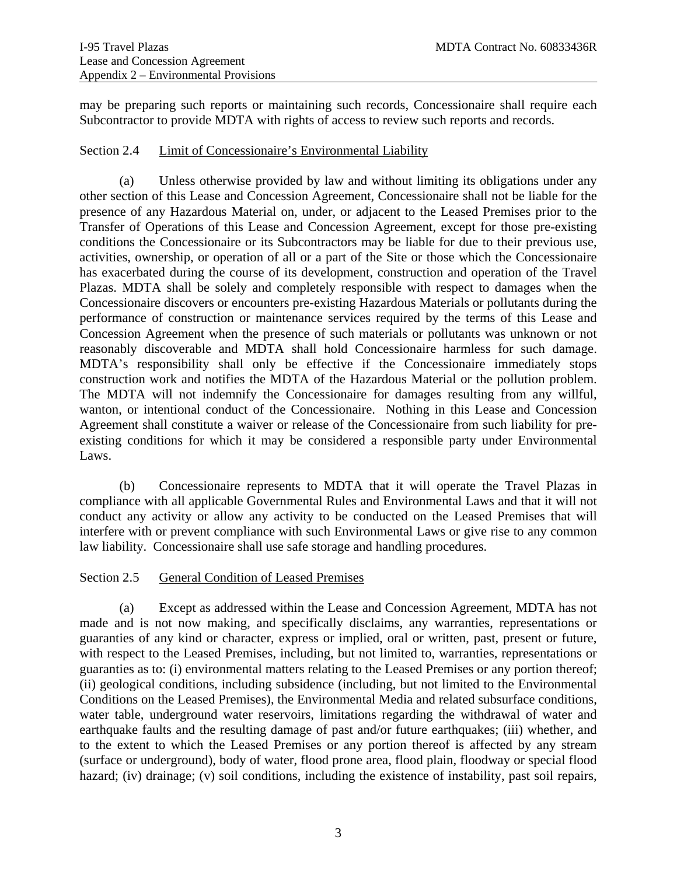may be preparing such reports or maintaining such records, Concessionaire shall require each Subcontractor to provide MDTA with rights of access to review such reports and records.

#### <span id="page-20-0"></span>Section 2.4 Limit of Concessionaire's Environmental Liability

(a) Unless otherwise provided by law and without limiting its obligations under any other section of this Lease and Concession Agreement, Concessionaire shall not be liable for the presence of any Hazardous Material on, under, or adjacent to the Leased Premises prior to the Transfer of Operations of this Lease and Concession Agreement, except for those pre-existing conditions the Concessionaire or its Subcontractors may be liable for due to their previous use, activities, ownership, or operation of all or a part of the Site or those which the Concessionaire has exacerbated during the course of its development, construction and operation of the Travel Plazas. MDTA shall be solely and completely responsible with respect to damages when the Concessionaire discovers or encounters pre-existing Hazardous Materials or pollutants during the performance of construction or maintenance services required by the terms of this Lease and Concession Agreement when the presence of such materials or pollutants was unknown or not reasonably discoverable and MDTA shall hold Concessionaire harmless for such damage. MDTA's responsibility shall only be effective if the Concessionaire immediately stops construction work and notifies the MDTA of the Hazardous Material or the pollution problem. The MDTA will not indemnify the Concessionaire for damages resulting from any willful, wanton, or intentional conduct of the Concessionaire. Nothing in this Lease and Concession Agreement shall constitute a waiver or release of the Concessionaire from such liability for preexisting conditions for which it may be considered a responsible party under Environmental Laws.

(b) Concessionaire represents to MDTA that it will operate the Travel Plazas in compliance with all applicable Governmental Rules and Environmental Laws and that it will not conduct any activity or allow any activity to be conducted on the Leased Premises that will interfere with or prevent compliance with such Environmental Laws or give rise to any common law liability. Concessionaire shall use safe storage and handling procedures.

### <span id="page-20-1"></span>Section 2.5 General Condition of Leased Premises

 (a) Except as addressed within the Lease and Concession Agreement, MDTA has not made and is not now making, and specifically disclaims, any warranties, representations or guaranties of any kind or character, express or implied, oral or written, past, present or future, with respect to the Leased Premises, including, but not limited to, warranties, representations or guaranties as to: (i) environmental matters relating to the Leased Premises or any portion thereof; (ii) geological conditions, including subsidence (including, but not limited to the Environmental Conditions on the Leased Premises), the Environmental Media and related subsurface conditions, water table, underground water reservoirs, limitations regarding the withdrawal of water and earthquake faults and the resulting damage of past and/or future earthquakes; (iii) whether, and to the extent to which the Leased Premises or any portion thereof is affected by any stream (surface or underground), body of water, flood prone area, flood plain, floodway or special flood hazard; (iv) drainage; (v) soil conditions, including the existence of instability, past soil repairs,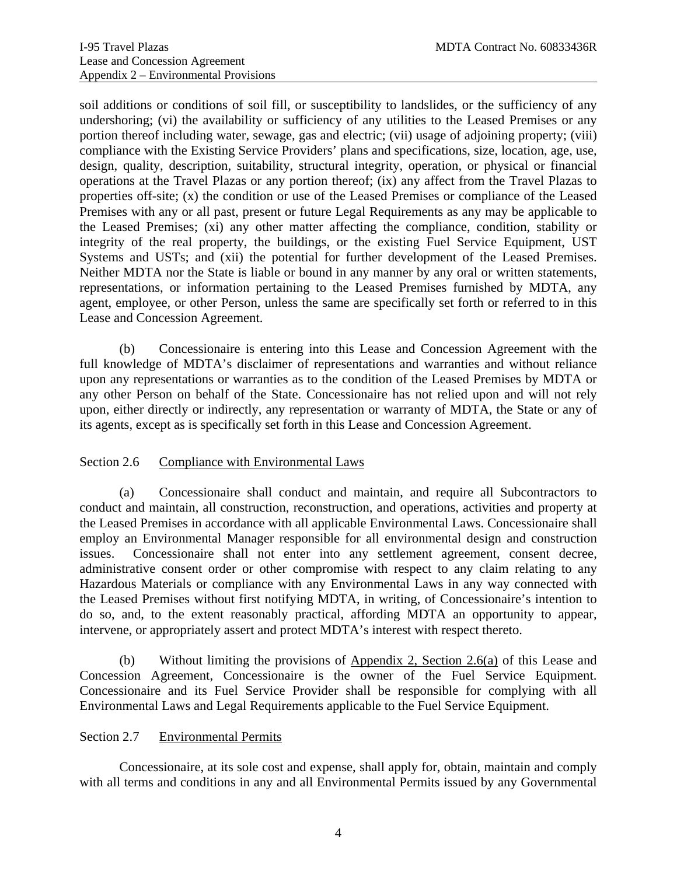soil additions or conditions of soil fill, or susceptibility to landslides, or the sufficiency of any undershoring; (vi) the availability or sufficiency of any utilities to the Leased Premises or any portion thereof including water, sewage, gas and electric; (vii) usage of adjoining property; (viii) compliance with the Existing Service Providers' plans and specifications, size, location, age, use, design, quality, description, suitability, structural integrity, operation, or physical or financial operations at the Travel Plazas or any portion thereof; (ix) any affect from the Travel Plazas to properties off-site; (x) the condition or use of the Leased Premises or compliance of the Leased Premises with any or all past, present or future Legal Requirements as any may be applicable to the Leased Premises; (xi) any other matter affecting the compliance, condition, stability or integrity of the real property, the buildings, or the existing Fuel Service Equipment, UST Systems and USTs; and (xii) the potential for further development of the Leased Premises. Neither MDTA nor the State is liable or bound in any manner by any oral or written statements, representations, or information pertaining to the Leased Premises furnished by MDTA, any agent, employee, or other Person, unless the same are specifically set forth or referred to in this Lease and Concession Agreement.

 (b) Concessionaire is entering into this Lease and Concession Agreement with the full knowledge of MDTA's disclaimer of representations and warranties and without reliance upon any representations or warranties as to the condition of the Leased Premises by MDTA or any other Person on behalf of the State. Concessionaire has not relied upon and will not rely upon, either directly or indirectly, any representation or warranty of MDTA, the State or any of its agents, except as is specifically set forth in this Lease and Concession Agreement.

### <span id="page-21-0"></span>Section 2.6 Compliance with Environmental Laws

(a) Concessionaire shall conduct and maintain, and require all Subcontractors to conduct and maintain, all construction, reconstruction, and operations, activities and property at the Leased Premises in accordance with all applicable Environmental Laws. Concessionaire shall employ an Environmental Manager responsible for all environmental design and construction issues. Concessionaire shall not enter into any settlement agreement, consent decree, administrative consent order or other compromise with respect to any claim relating to any Hazardous Materials or compliance with any Environmental Laws in any way connected with the Leased Premises without first notifying MDTA, in writing, of Concessionaire's intention to do so, and, to the extent reasonably practical, affording MDTA an opportunity to appear, intervene, or appropriately assert and protect MDTA's interest with respect thereto.

(b) Without limiting the provisions of  $\Delta$ ppendix 2, Section 2.6(a) of this Lease and Concession Agreement, Concessionaire is the owner of the Fuel Service Equipment. Concessionaire and its Fuel Service Provider shall be responsible for complying with all Environmental Laws and Legal Requirements applicable to the Fuel Service Equipment.

#### <span id="page-21-1"></span>Section 2.7 Environmental Permits

 Concessionaire, at its sole cost and expense, shall apply for, obtain, maintain and comply with all terms and conditions in any and all Environmental Permits issued by any Governmental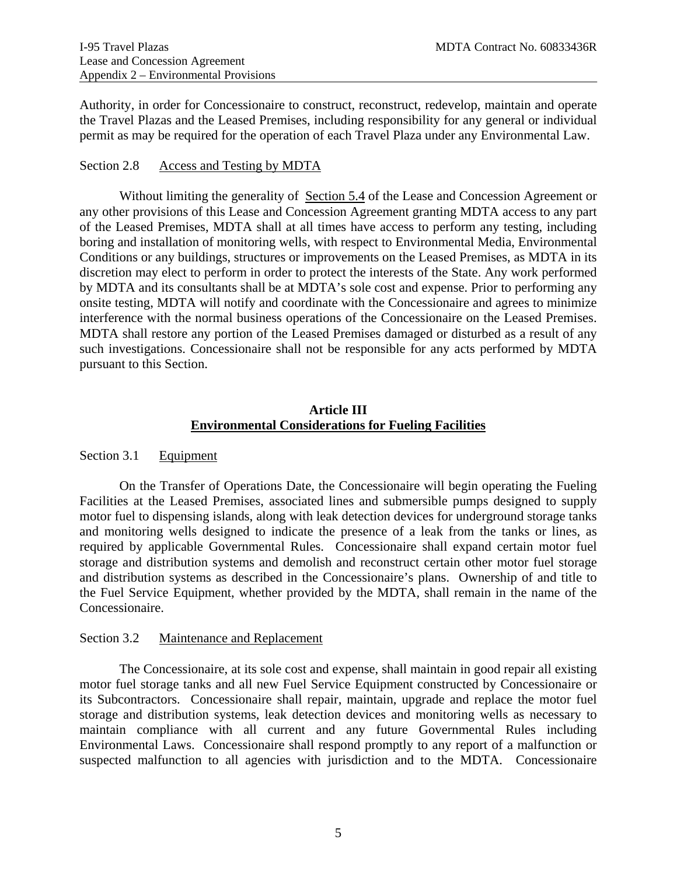Authority, in order for Concessionaire to construct, reconstruct, redevelop, maintain and operate the Travel Plazas and the Leased Premises, including responsibility for any general or individual permit as may be required for the operation of each Travel Plaza under any Environmental Law.

#### <span id="page-22-0"></span>Section 2.8 Access and Testing by MDTA

Without limiting the generality of Section 5.4 of the Lease and Concession Agreement or any other provisions of this Lease and Concession Agreement granting MDTA access to any part of the Leased Premises, MDTA shall at all times have access to perform any testing, including boring and installation of monitoring wells, with respect to Environmental Media, Environmental Conditions or any buildings, structures or improvements on the Leased Premises, as MDTA in its discretion may elect to perform in order to protect the interests of the State. Any work performed by MDTA and its consultants shall be at MDTA's sole cost and expense. Prior to performing any onsite testing, MDTA will notify and coordinate with the Concessionaire and agrees to minimize interference with the normal business operations of the Concessionaire on the Leased Premises. MDTA shall restore any portion of the Leased Premises damaged or disturbed as a result of any such investigations. Concessionaire shall not be responsible for any acts performed by MDTA pursuant to this Section.

### **Article III Environmental Considerations for Fueling Facilities**

### <span id="page-22-2"></span><span id="page-22-1"></span>Section 3.1 Equipment

On the Transfer of Operations Date, the Concessionaire will begin operating the Fueling Facilities at the Leased Premises, associated lines and submersible pumps designed to supply motor fuel to dispensing islands, along with leak detection devices for underground storage tanks and monitoring wells designed to indicate the presence of a leak from the tanks or lines, as required by applicable Governmental Rules. Concessionaire shall expand certain motor fuel storage and distribution systems and demolish and reconstruct certain other motor fuel storage and distribution systems as described in the Concessionaire's plans. Ownership of and title to the Fuel Service Equipment, whether provided by the MDTA, shall remain in the name of the Concessionaire.

#### <span id="page-22-3"></span>Section 3.2 Maintenance and Replacement

The Concessionaire, at its sole cost and expense, shall maintain in good repair all existing motor fuel storage tanks and all new Fuel Service Equipment constructed by Concessionaire or its Subcontractors. Concessionaire shall repair, maintain, upgrade and replace the motor fuel storage and distribution systems, leak detection devices and monitoring wells as necessary to maintain compliance with all current and any future Governmental Rules including Environmental Laws. Concessionaire shall respond promptly to any report of a malfunction or suspected malfunction to all agencies with jurisdiction and to the MDTA. Concessionaire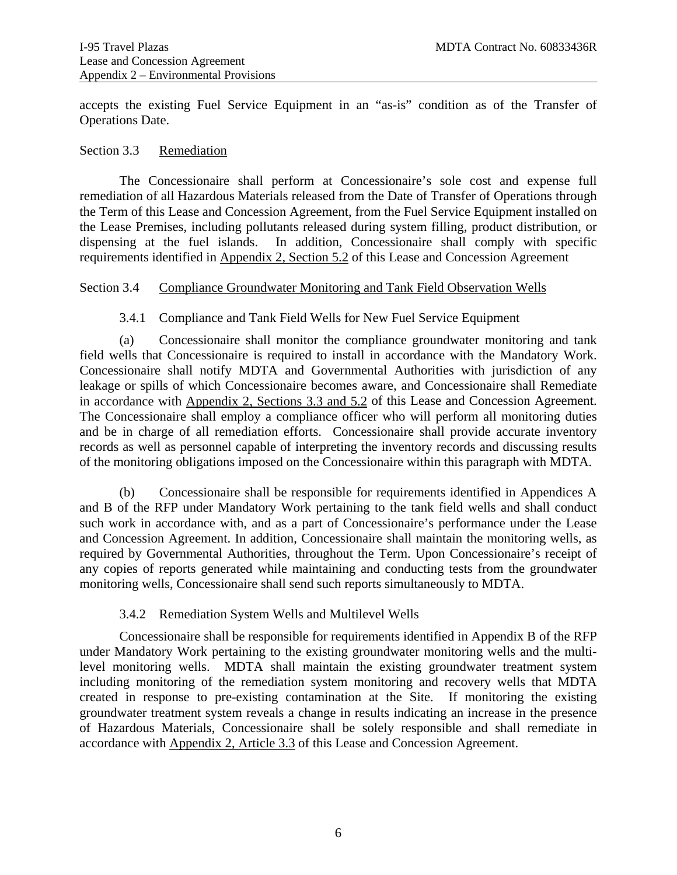accepts the existing Fuel Service Equipment in an "as-is" condition as of the Transfer of Operations Date.

#### <span id="page-23-0"></span>Section 3.3 Remediation

 The Concessionaire shall perform at Concessionaire's sole cost and expense full remediation of all Hazardous Materials released from the Date of Transfer of Operations through the Term of this Lease and Concession Agreement, from the Fuel Service Equipment installed on the Lease Premises, including pollutants released during system filling, product distribution, or dispensing at the fuel islands. In addition, Concessionaire shall comply with specific requirements identified in Appendix 2, Section 5.2 of this Lease and Concession Agreement

#### <span id="page-23-1"></span>Section 3.4 Compliance Groundwater Monitoring and Tank Field Observation Wells

### 3.4.1 Compliance and Tank Field Wells for New Fuel Service Equipment

<span id="page-23-2"></span>(a) Concessionaire shall monitor the compliance groundwater monitoring and tank field wells that Concessionaire is required to install in accordance with the Mandatory Work. Concessionaire shall notify MDTA and Governmental Authorities with jurisdiction of any leakage or spills of which Concessionaire becomes aware, and Concessionaire shall Remediate in accordance with Appendix 2, Sections 3.3 and 5.2 of this Lease and Concession Agreement. The Concessionaire shall employ a compliance officer who will perform all monitoring duties and be in charge of all remediation efforts. Concessionaire shall provide accurate inventory records as well as personnel capable of interpreting the inventory records and discussing results of the monitoring obligations imposed on the Concessionaire within this paragraph with MDTA.

(b) Concessionaire shall be responsible for requirements identified in Appendices A and B of the RFP under Mandatory Work pertaining to the tank field wells and shall conduct such work in accordance with, and as a part of Concessionaire's performance under the Lease and Concession Agreement. In addition, Concessionaire shall maintain the monitoring wells, as required by Governmental Authorities, throughout the Term. Upon Concessionaire's receipt of any copies of reports generated while maintaining and conducting tests from the groundwater monitoring wells, Concessionaire shall send such reports simultaneously to MDTA.

#### 3.4.2 Remediation System Wells and Multilevel Wells

<span id="page-23-3"></span>Concessionaire shall be responsible for requirements identified in Appendix B of the RFP under Mandatory Work pertaining to the existing groundwater monitoring wells and the multilevel monitoring wells. MDTA shall maintain the existing groundwater treatment system including monitoring of the remediation system monitoring and recovery wells that MDTA created in response to pre-existing contamination at the Site. If monitoring the existing groundwater treatment system reveals a change in results indicating an increase in the presence of Hazardous Materials, Concessionaire shall be solely responsible and shall remediate in accordance with Appendix 2, Article 3.3 of this Lease and Concession Agreement.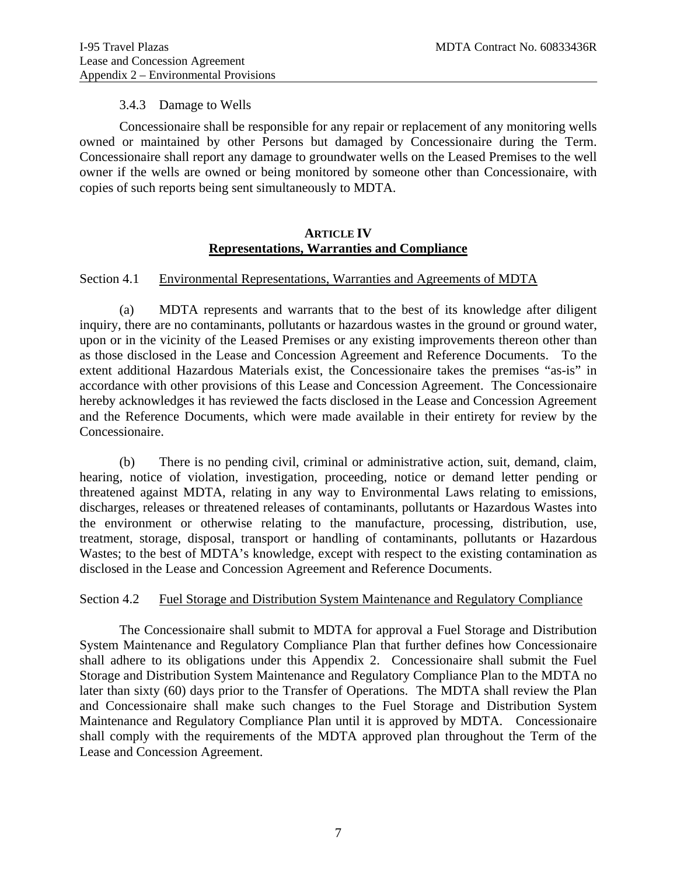#### 3.4.3 Damage to Wells

<span id="page-24-0"></span>Concessionaire shall be responsible for any repair or replacement of any monitoring wells owned or maintained by other Persons but damaged by Concessionaire during the Term. Concessionaire shall report any damage to groundwater wells on the Leased Premises to the well owner if the wells are owned or being monitored by someone other than Concessionaire, with copies of such reports being sent simultaneously to MDTA.

#### **ARTICLE IV Representations, Warranties and Compliance**

#### <span id="page-24-2"></span><span id="page-24-1"></span>Section 4.1 Environmental Representations, Warranties and Agreements of MDTA

 (a) MDTA represents and warrants that to the best of its knowledge after diligent inquiry, there are no contaminants, pollutants or hazardous wastes in the ground or ground water, upon or in the vicinity of the Leased Premises or any existing improvements thereon other than as those disclosed in the Lease and Concession Agreement and Reference Documents. To the extent additional Hazardous Materials exist, the Concessionaire takes the premises "as-is" in accordance with other provisions of this Lease and Concession Agreement. The Concessionaire hereby acknowledges it has reviewed the facts disclosed in the Lease and Concession Agreement and the Reference Documents, which were made available in their entirety for review by the Concessionaire.

 (b) There is no pending civil, criminal or administrative action, suit, demand, claim, hearing, notice of violation, investigation, proceeding, notice or demand letter pending or threatened against MDTA, relating in any way to Environmental Laws relating to emissions, discharges, releases or threatened releases of contaminants, pollutants or Hazardous Wastes into the environment or otherwise relating to the manufacture, processing, distribution, use, treatment, storage, disposal, transport or handling of contaminants, pollutants or Hazardous Wastes; to the best of MDTA's knowledge, except with respect to the existing contamination as disclosed in the Lease and Concession Agreement and Reference Documents.

#### <span id="page-24-3"></span>Section 4.2 Fuel Storage and Distribution System Maintenance and Regulatory Compliance

 The Concessionaire shall submit to MDTA for approval a Fuel Storage and Distribution System Maintenance and Regulatory Compliance Plan that further defines how Concessionaire shall adhere to its obligations under this Appendix 2. Concessionaire shall submit the Fuel Storage and Distribution System Maintenance and Regulatory Compliance Plan to the MDTA no later than sixty (60) days prior to the Transfer of Operations. The MDTA shall review the Plan and Concessionaire shall make such changes to the Fuel Storage and Distribution System Maintenance and Regulatory Compliance Plan until it is approved by MDTA. Concessionaire shall comply with the requirements of the MDTA approved plan throughout the Term of the Lease and Concession Agreement.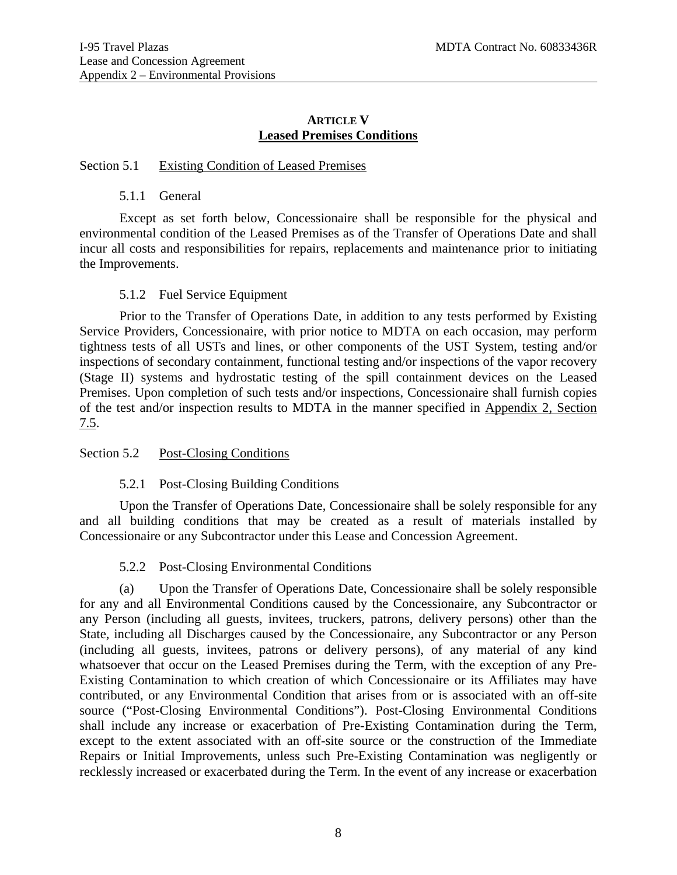### **ARTICLE V Leased Premises Conditions**

#### <span id="page-25-1"></span><span id="page-25-0"></span>Section 5.1 Existing Condition of Leased Premises

#### 5.1.1 General

<span id="page-25-2"></span>Except as set forth below, Concessionaire shall be responsible for the physical and environmental condition of the Leased Premises as of the Transfer of Operations Date and shall incur all costs and responsibilities for repairs, replacements and maintenance prior to initiating the Improvements.

### 5.1.2 Fuel Service Equipment

<span id="page-25-3"></span>Prior to the Transfer of Operations Date, in addition to any tests performed by Existing Service Providers, Concessionaire, with prior notice to MDTA on each occasion, may perform tightness tests of all USTs and lines, or other components of the UST System, testing and/or inspections of secondary containment, functional testing and/or inspections of the vapor recovery (Stage II) systems and hydrostatic testing of the spill containment devices on the Leased Premises. Upon completion of such tests and/or inspections, Concessionaire shall furnish copies of the test and/or inspection results to MDTA in the manner specified in Appendix 2, Section 7.5.

### <span id="page-25-4"></span>Section 5.2 Post-Closing Conditions

### 5.2.1 Post-Closing Building Conditions

<span id="page-25-5"></span>Upon the Transfer of Operations Date, Concessionaire shall be solely responsible for any and all building conditions that may be created as a result of materials installed by Concessionaire or any Subcontractor under this Lease and Concession Agreement.

### 5.2.2 Post-Closing Environmental Conditions

<span id="page-25-6"></span> (a) Upon the Transfer of Operations Date, Concessionaire shall be solely responsible for any and all Environmental Conditions caused by the Concessionaire, any Subcontractor or any Person (including all guests, invitees, truckers, patrons, delivery persons) other than the State, including all Discharges caused by the Concessionaire, any Subcontractor or any Person (including all guests, invitees, patrons or delivery persons), of any material of any kind whatsoever that occur on the Leased Premises during the Term, with the exception of any Pre-Existing Contamination to which creation of which Concessionaire or its Affiliates may have contributed, or any Environmental Condition that arises from or is associated with an off-site source ("Post-Closing Environmental Conditions"). Post-Closing Environmental Conditions shall include any increase or exacerbation of Pre-Existing Contamination during the Term, except to the extent associated with an off-site source or the construction of the Immediate Repairs or Initial Improvements, unless such Pre-Existing Contamination was negligently or recklessly increased or exacerbated during the Term. In the event of any increase or exacerbation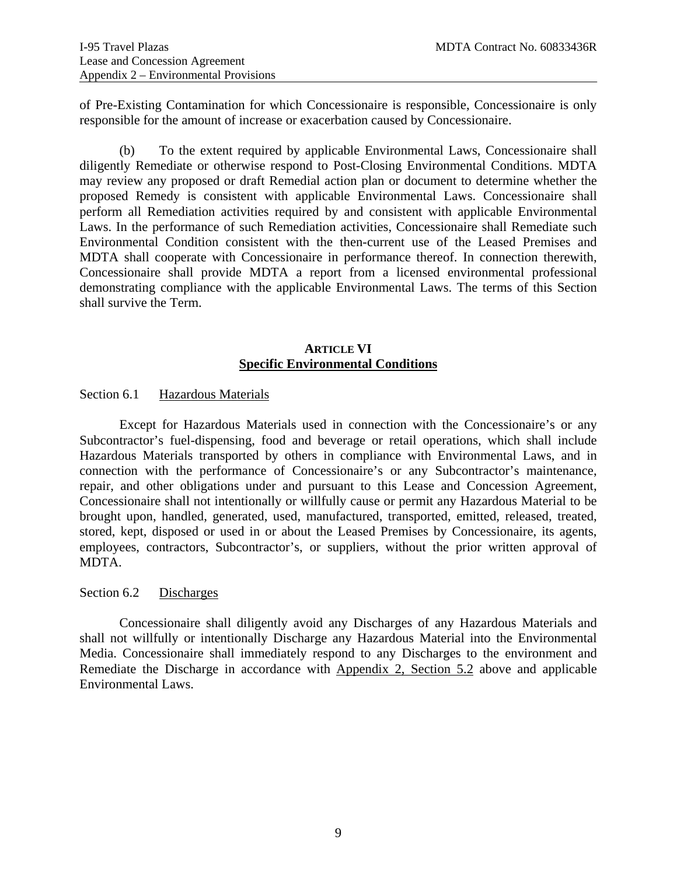of Pre-Existing Contamination for which Concessionaire is responsible, Concessionaire is only responsible for the amount of increase or exacerbation caused by Concessionaire.

(b) To the extent required by applicable Environmental Laws, Concessionaire shall diligently Remediate or otherwise respond to Post-Closing Environmental Conditions. MDTA may review any proposed or draft Remedial action plan or document to determine whether the proposed Remedy is consistent with applicable Environmental Laws. Concessionaire shall perform all Remediation activities required by and consistent with applicable Environmental Laws. In the performance of such Remediation activities, Concessionaire shall Remediate such Environmental Condition consistent with the then-current use of the Leased Premises and MDTA shall cooperate with Concessionaire in performance thereof. In connection therewith, Concessionaire shall provide MDTA a report from a licensed environmental professional demonstrating compliance with the applicable Environmental Laws. The terms of this Section shall survive the Term.

### **ARTICLE VI Specific Environmental Conditions**

### <span id="page-26-1"></span><span id="page-26-0"></span>Section 6.1 Hazardous Materials

 Except for Hazardous Materials used in connection with the Concessionaire's or any Subcontractor's fuel-dispensing, food and beverage or retail operations, which shall include Hazardous Materials transported by others in compliance with Environmental Laws, and in connection with the performance of Concessionaire's or any Subcontractor's maintenance, repair, and other obligations under and pursuant to this Lease and Concession Agreement, Concessionaire shall not intentionally or willfully cause or permit any Hazardous Material to be brought upon, handled, generated, used, manufactured, transported, emitted, released, treated, stored, kept, disposed or used in or about the Leased Premises by Concessionaire, its agents, employees, contractors, Subcontractor's, or suppliers, without the prior written approval of MDTA.

#### <span id="page-26-2"></span>Section 6.2 Discharges

 Concessionaire shall diligently avoid any Discharges of any Hazardous Materials and shall not willfully or intentionally Discharge any Hazardous Material into the Environmental Media. Concessionaire shall immediately respond to any Discharges to the environment and Remediate the Discharge in accordance with Appendix 2, Section 5.2 above and applicable Environmental Laws.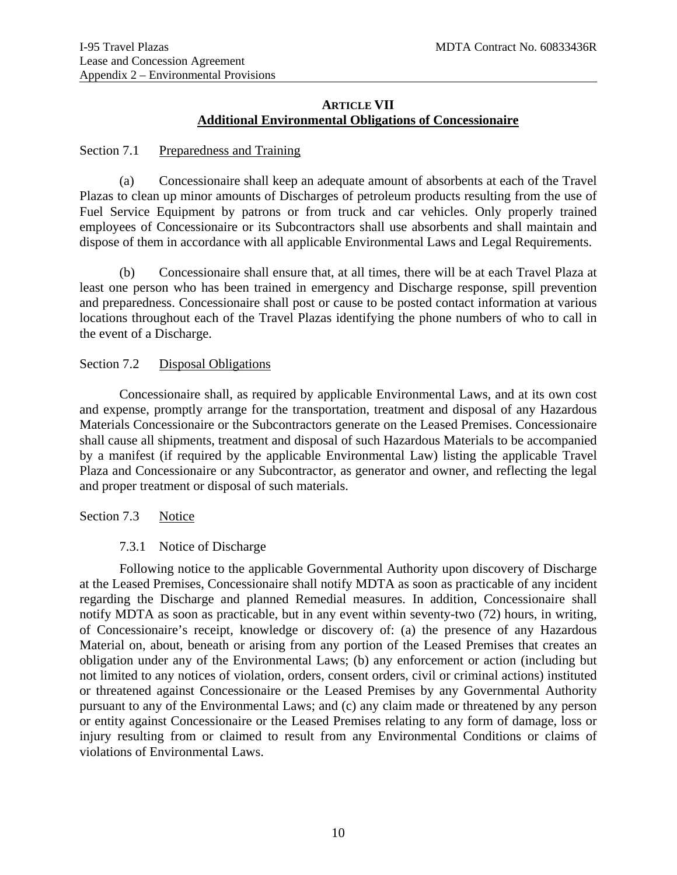### **ARTICLE VII Additional Environmental Obligations of Concessionaire**

#### <span id="page-27-1"></span><span id="page-27-0"></span>Section 7.1 Preparedness and Training

(a) Concessionaire shall keep an adequate amount of absorbents at each of the Travel Plazas to clean up minor amounts of Discharges of petroleum products resulting from the use of Fuel Service Equipment by patrons or from truck and car vehicles. Only properly trained employees of Concessionaire or its Subcontractors shall use absorbents and shall maintain and dispose of them in accordance with all applicable Environmental Laws and Legal Requirements.

(b) Concessionaire shall ensure that, at all times, there will be at each Travel Plaza at least one person who has been trained in emergency and Discharge response, spill prevention and preparedness. Concessionaire shall post or cause to be posted contact information at various locations throughout each of the Travel Plazas identifying the phone numbers of who to call in the event of a Discharge.

#### <span id="page-27-2"></span>Section 7.2 Disposal Obligations

 Concessionaire shall, as required by applicable Environmental Laws, and at its own cost and expense, promptly arrange for the transportation, treatment and disposal of any Hazardous Materials Concessionaire or the Subcontractors generate on the Leased Premises. Concessionaire shall cause all shipments, treatment and disposal of such Hazardous Materials to be accompanied by a manifest (if required by the applicable Environmental Law) listing the applicable Travel Plaza and Concessionaire or any Subcontractor, as generator and owner, and reflecting the legal and proper treatment or disposal of such materials.

### <span id="page-27-3"></span>Section 7.3 Notice

### 7.3.1 Notice of Discharge

<span id="page-27-4"></span>Following notice to the applicable Governmental Authority upon discovery of Discharge at the Leased Premises, Concessionaire shall notify MDTA as soon as practicable of any incident regarding the Discharge and planned Remedial measures. In addition, Concessionaire shall notify MDTA as soon as practicable, but in any event within seventy-two (72) hours, in writing, of Concessionaire's receipt, knowledge or discovery of: (a) the presence of any Hazardous Material on, about, beneath or arising from any portion of the Leased Premises that creates an obligation under any of the Environmental Laws; (b) any enforcement or action (including but not limited to any notices of violation, orders, consent orders, civil or criminal actions) instituted or threatened against Concessionaire or the Leased Premises by any Governmental Authority pursuant to any of the Environmental Laws; and (c) any claim made or threatened by any person or entity against Concessionaire or the Leased Premises relating to any form of damage, loss or injury resulting from or claimed to result from any Environmental Conditions or claims of violations of Environmental Laws.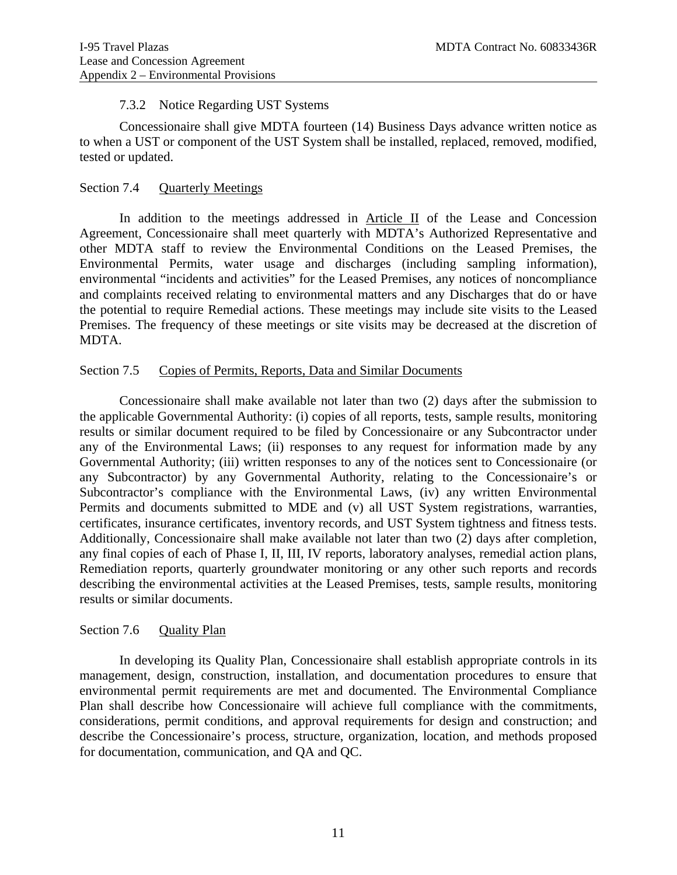#### 7.3.2 Notice Regarding UST Systems

<span id="page-28-0"></span>Concessionaire shall give MDTA fourteen (14) Business Days advance written notice as to when a UST or component of the UST System shall be installed, replaced, removed, modified, tested or updated.

### <span id="page-28-1"></span>Section 7.4 Quarterly Meetings

 In addition to the meetings addressed in Article II of the Lease and Concession Agreement, Concessionaire shall meet quarterly with MDTA's Authorized Representative and other MDTA staff to review the Environmental Conditions on the Leased Premises, the Environmental Permits, water usage and discharges (including sampling information), environmental "incidents and activities" for the Leased Premises, any notices of noncompliance and complaints received relating to environmental matters and any Discharges that do or have the potential to require Remedial actions. These meetings may include site visits to the Leased Premises. The frequency of these meetings or site visits may be decreased at the discretion of MDTA.

#### <span id="page-28-2"></span>Section 7.5 Copies of Permits, Reports, Data and Similar Documents

Concessionaire shall make available not later than two (2) days after the submission to the applicable Governmental Authority: (i) copies of all reports, tests, sample results, monitoring results or similar document required to be filed by Concessionaire or any Subcontractor under any of the Environmental Laws; (ii) responses to any request for information made by any Governmental Authority; (iii) written responses to any of the notices sent to Concessionaire (or any Subcontractor) by any Governmental Authority, relating to the Concessionaire's or Subcontractor's compliance with the Environmental Laws, (iv) any written Environmental Permits and documents submitted to MDE and (v) all UST System registrations, warranties, certificates, insurance certificates, inventory records, and UST System tightness and fitness tests. Additionally, Concessionaire shall make available not later than two (2) days after completion, any final copies of each of Phase I, II, III, IV reports, laboratory analyses, remedial action plans, Remediation reports, quarterly groundwater monitoring or any other such reports and records describing the environmental activities at the Leased Premises, tests, sample results, monitoring results or similar documents.

### <span id="page-28-3"></span>Section 7.6 Quality Plan

 In developing its Quality Plan, Concessionaire shall establish appropriate controls in its management, design, construction, installation, and documentation procedures to ensure that environmental permit requirements are met and documented. The Environmental Compliance Plan shall describe how Concessionaire will achieve full compliance with the commitments, considerations, permit conditions, and approval requirements for design and construction; and describe the Concessionaire's process, structure, organization, location, and methods proposed for documentation, communication, and QA and QC.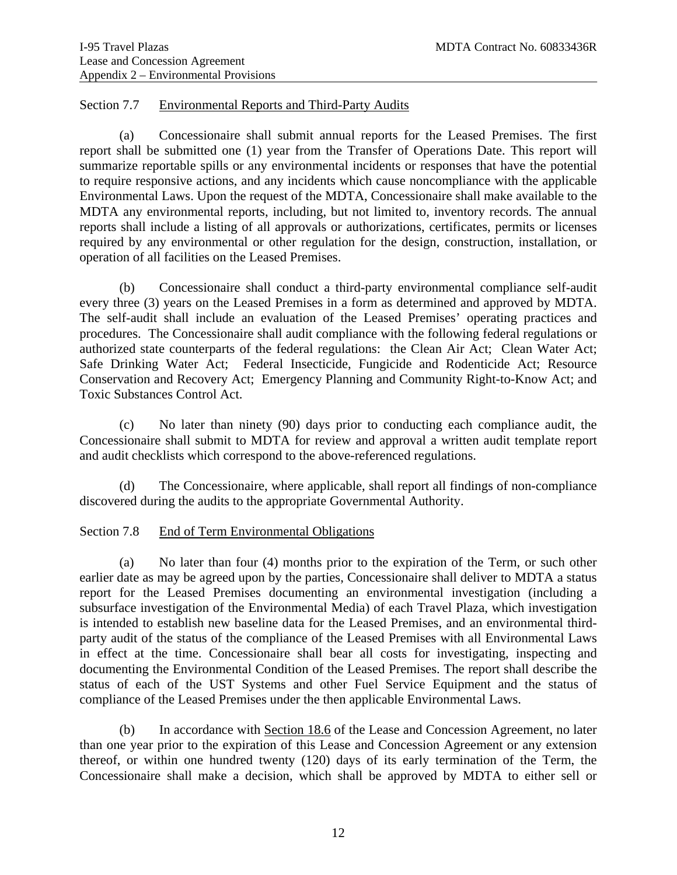#### <span id="page-29-0"></span>Section 7.7 Environmental Reports and Third-Party Audits

 (a) Concessionaire shall submit annual reports for the Leased Premises. The first report shall be submitted one (1) year from the Transfer of Operations Date. This report will summarize reportable spills or any environmental incidents or responses that have the potential to require responsive actions, and any incidents which cause noncompliance with the applicable Environmental Laws. Upon the request of the MDTA, Concessionaire shall make available to the MDTA any environmental reports, including, but not limited to, inventory records. The annual reports shall include a listing of all approvals or authorizations, certificates, permits or licenses required by any environmental or other regulation for the design, construction, installation, or operation of all facilities on the Leased Premises.

 (b) Concessionaire shall conduct a third-party environmental compliance self-audit every three (3) years on the Leased Premises in a form as determined and approved by MDTA. The self-audit shall include an evaluation of the Leased Premises' operating practices and procedures. The Concessionaire shall audit compliance with the following federal regulations or authorized state counterparts of the federal regulations: the Clean Air Act; Clean Water Act; Safe Drinking Water Act; Federal Insecticide, Fungicide and Rodenticide Act; Resource Conservation and Recovery Act; Emergency Planning and Community Right-to-Know Act; and Toxic Substances Control Act.

 (c) No later than ninety (90) days prior to conducting each compliance audit, the Concessionaire shall submit to MDTA for review and approval a written audit template report and audit checklists which correspond to the above-referenced regulations.

 (d) The Concessionaire, where applicable, shall report all findings of non-compliance discovered during the audits to the appropriate Governmental Authority.

### <span id="page-29-1"></span>Section 7.8 End of Term Environmental Obligations

(a) No later than four (4) months prior to the expiration of the Term, or such other earlier date as may be agreed upon by the parties, Concessionaire shall deliver to MDTA a status report for the Leased Premises documenting an environmental investigation (including a subsurface investigation of the Environmental Media) of each Travel Plaza, which investigation is intended to establish new baseline data for the Leased Premises, and an environmental thirdparty audit of the status of the compliance of the Leased Premises with all Environmental Laws in effect at the time. Concessionaire shall bear all costs for investigating, inspecting and documenting the Environmental Condition of the Leased Premises. The report shall describe the status of each of the UST Systems and other Fuel Service Equipment and the status of compliance of the Leased Premises under the then applicable Environmental Laws.

 (b) In accordance with Section 18.6 of the Lease and Concession Agreement, no later than one year prior to the expiration of this Lease and Concession Agreement or any extension thereof, or within one hundred twenty (120) days of its early termination of the Term, the Concessionaire shall make a decision, which shall be approved by MDTA to either sell or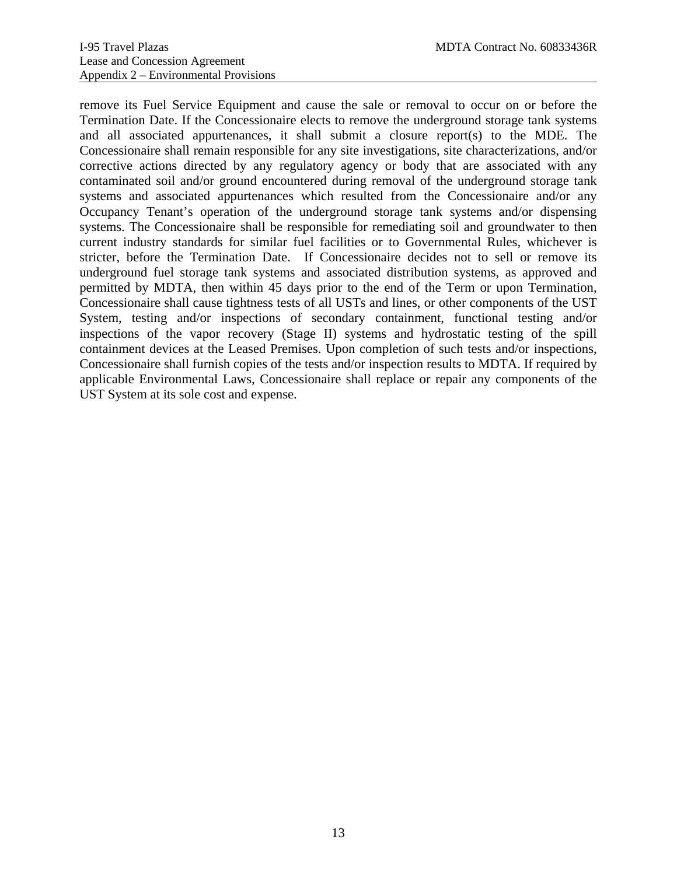remove its Fuel Service Equipment and cause the sale or removal to occur on or before the Termination Date. If the Concessionaire elects to remove the underground storage tank systems and all associated appurtenances, it shall submit a closure report(s) to the MDE. The Concessionaire shall remain responsible for any site investigations, site characterizations, and/or corrective actions directed by any regulatory agency or body that are associated with any contaminated soil and/or ground encountered during removal of the underground storage tank systems and associated appurtenances which resulted from the Concessionaire and/or any Occupancy Tenant's operation of the underground storage tank systems and/or dispensing systems. The Concessionaire shall be responsible for remediating soil and groundwater to then current industry standards for similar fuel facilities or to Governmental Rules, whichever is stricter, before the Termination Date. If Concessionaire decides not to sell or remove its underground fuel storage tank systems and associated distribution systems, as approved and permitted by MDTA, then within 45 days prior to the end of the Term or upon Termination, Concessionaire shall cause tightness tests of all USTs and lines, or other components of the UST System, testing and/or inspections of secondary containment, functional testing and/or inspections of the vapor recovery (Stage II) systems and hydrostatic testing of the spill containment devices at the Leased Premises. Upon completion of such tests and/or inspections, Concessionaire shall furnish copies of the tests and/or inspection results to MDTA. If required by applicable Environmental Laws, Concessionaire shall replace or repair any components of the UST System at its sole cost and expense.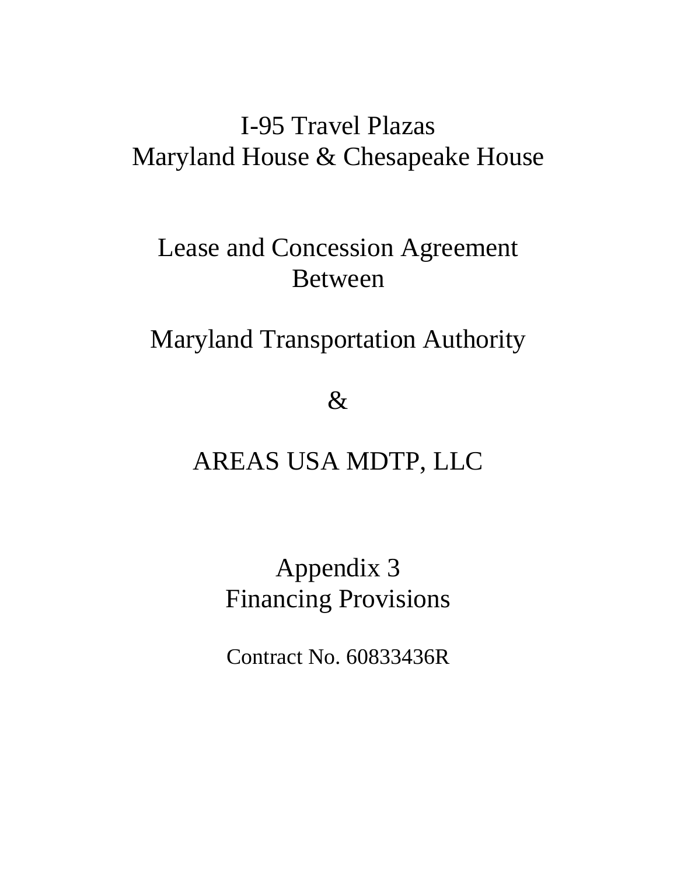# I-95 Travel Plazas Maryland House & Chesapeake House

# Lease and Concession Agreement Between

# Maryland Transportation Authority

 $\&$ 

# AREAS USA MDTP, LLC

# Appendix 3 Financing Provisions

Contract No. 60833436R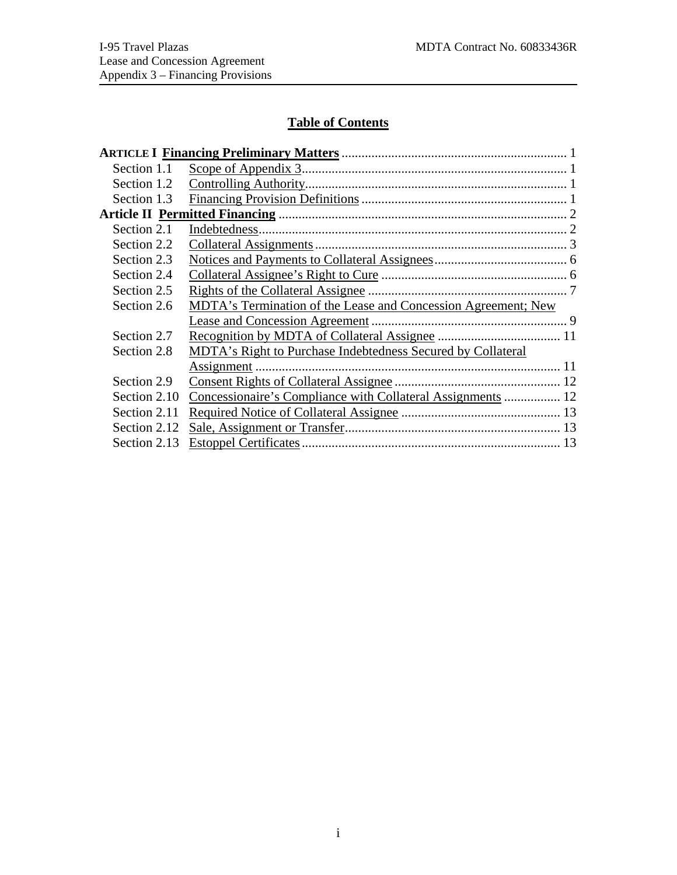## **Table of Contents**

| Section 1.1  |                                                                      |  |
|--------------|----------------------------------------------------------------------|--|
| Section 1.2  |                                                                      |  |
| Section 1.3  |                                                                      |  |
|              |                                                                      |  |
| Section 2.1  |                                                                      |  |
| Section 2.2  |                                                                      |  |
| Section 2.3  |                                                                      |  |
| Section 2.4  |                                                                      |  |
| Section 2.5  |                                                                      |  |
| Section 2.6  | <b>MDTA's Termination of the Lease and Concession Agreement; New</b> |  |
|              |                                                                      |  |
| Section 2.7  |                                                                      |  |
| Section 2.8  | MDTA's Right to Purchase Indebtedness Secured by Collateral          |  |
|              |                                                                      |  |
| Section 2.9  |                                                                      |  |
| Section 2.10 | Concessionaire's Compliance with Collateral Assignments  12          |  |
| Section 2.11 |                                                                      |  |
| Section 2.12 |                                                                      |  |
| Section 2.13 |                                                                      |  |
|              |                                                                      |  |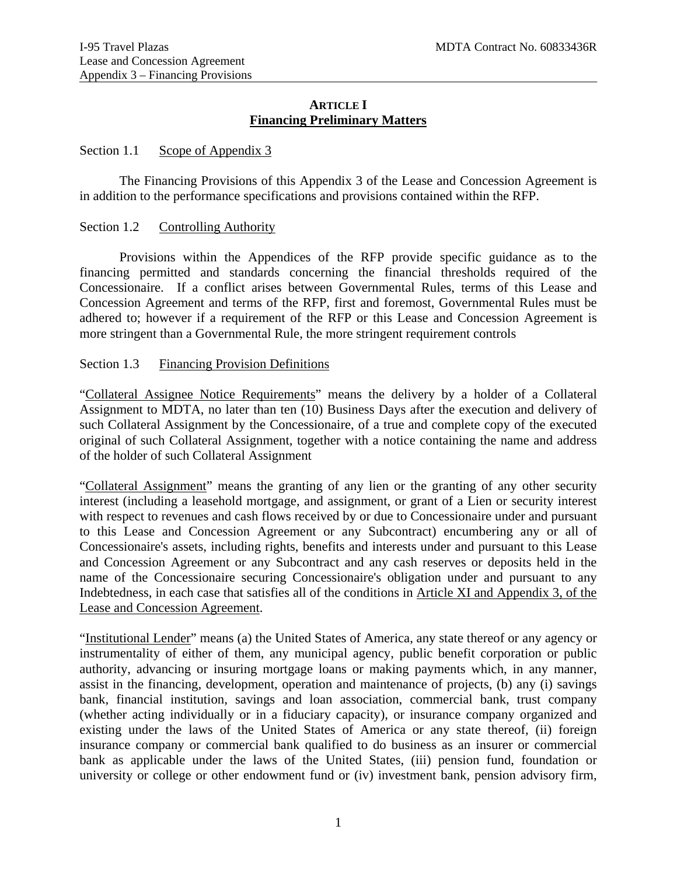#### **ARTICLE I Financing Preliminary Matters**

#### <span id="page-33-1"></span><span id="page-33-0"></span>Section 1.1 Scope of Appendix 3

 The Financing Provisions of this Appendix 3 of the Lease and Concession Agreement is in addition to the performance specifications and provisions contained within the RFP.

#### <span id="page-33-2"></span>Section 1.2 Controlling Authority

Provisions within the Appendices of the RFP provide specific guidance as to the financing permitted and standards concerning the financial thresholds required of the Concessionaire. If a conflict arises between Governmental Rules, terms of this Lease and Concession Agreement and terms of the RFP, first and foremost, Governmental Rules must be adhered to; however if a requirement of the RFP or this Lease and Concession Agreement is more stringent than a Governmental Rule, the more stringent requirement controls

#### <span id="page-33-3"></span>Section 1.3 Financing Provision Definitions

"Collateral Assignee Notice Requirements" means the delivery by a holder of a Collateral Assignment to MDTA, no later than ten (10) Business Days after the execution and delivery of such Collateral Assignment by the Concessionaire, of a true and complete copy of the executed original of such Collateral Assignment, together with a notice containing the name and address of the holder of such Collateral Assignment

"Collateral Assignment" means the granting of any lien or the granting of any other security interest (including a leasehold mortgage, and assignment, or grant of a Lien or security interest with respect to revenues and cash flows received by or due to Concessionaire under and pursuant to this Lease and Concession Agreement or any Subcontract) encumbering any or all of Concessionaire's assets, including rights, benefits and interests under and pursuant to this Lease and Concession Agreement or any Subcontract and any cash reserves or deposits held in the name of the Concessionaire securing Concessionaire's obligation under and pursuant to any Indebtedness, in each case that satisfies all of the conditions in Article XI and Appendix 3, of the Lease and Concession Agreement.

"Institutional Lender" means (a) the United States of America, any state thereof or any agency or instrumentality of either of them, any municipal agency, public benefit corporation or public authority, advancing or insuring mortgage loans or making payments which, in any manner, assist in the financing, development, operation and maintenance of projects, (b) any (i) savings bank, financial institution, savings and loan association, commercial bank, trust company (whether acting individually or in a fiduciary capacity), or insurance company organized and existing under the laws of the United States of America or any state thereof, (ii) foreign insurance company or commercial bank qualified to do business as an insurer or commercial bank as applicable under the laws of the United States, (iii) pension fund, foundation or university or college or other endowment fund or (iv) investment bank, pension advisory firm,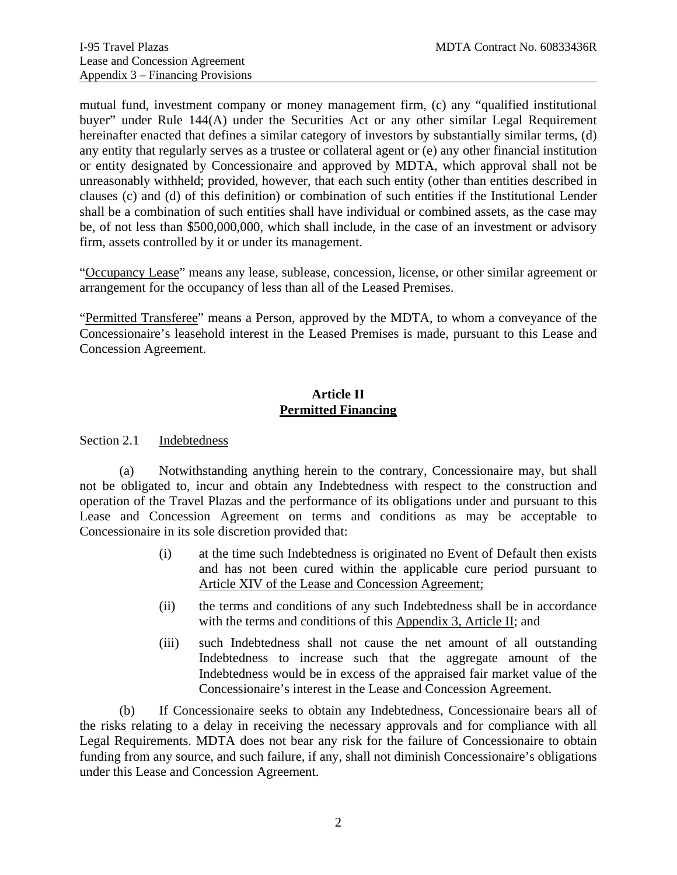mutual fund, investment company or money management firm, (c) any "qualified institutional buyer" under Rule 144(A) under the Securities Act or any other similar Legal Requirement hereinafter enacted that defines a similar category of investors by substantially similar terms, (d) any entity that regularly serves as a trustee or collateral agent or (e) any other financial institution or entity designated by Concessionaire and approved by MDTA, which approval shall not be unreasonably withheld; provided, however, that each such entity (other than entities described in clauses (c) and (d) of this definition) or combination of such entities if the Institutional Lender shall be a combination of such entities shall have individual or combined assets, as the case may be, of not less than \$500,000,000, which shall include, in the case of an investment or advisory firm, assets controlled by it or under its management.

"Occupancy Lease" means any lease, sublease, concession, license, or other similar agreement or arrangement for the occupancy of less than all of the Leased Premises.

"Permitted Transferee" means a Person, approved by the MDTA, to whom a conveyance of the Concessionaire's leasehold interest in the Leased Premises is made, pursuant to this Lease and Concession Agreement.

### **Article II Permitted Financing**

<span id="page-34-1"></span><span id="page-34-0"></span>Section 2.1 Indebtedness

 (a) Notwithstanding anything herein to the contrary, Concessionaire may, but shall not be obligated to, incur and obtain any Indebtedness with respect to the construction and operation of the Travel Plazas and the performance of its obligations under and pursuant to this Lease and Concession Agreement on terms and conditions as may be acceptable to Concessionaire in its sole discretion provided that:

- (i) at the time such Indebtedness is originated no Event of Default then exists and has not been cured within the applicable cure period pursuant to Article XIV of the Lease and Concession Agreement;
- (ii) the terms and conditions of any such Indebtedness shall be in accordance with the terms and conditions of this Appendix 3, Article II; and
- (iii) such Indebtedness shall not cause the net amount of all outstanding Indebtedness to increase such that the aggregate amount of the Indebtedness would be in excess of the appraised fair market value of the Concessionaire's interest in the Lease and Concession Agreement.

 (b) If Concessionaire seeks to obtain any Indebtedness, Concessionaire bears all of the risks relating to a delay in receiving the necessary approvals and for compliance with all Legal Requirements. MDTA does not bear any risk for the failure of Concessionaire to obtain funding from any source, and such failure, if any, shall not diminish Concessionaire's obligations under this Lease and Concession Agreement.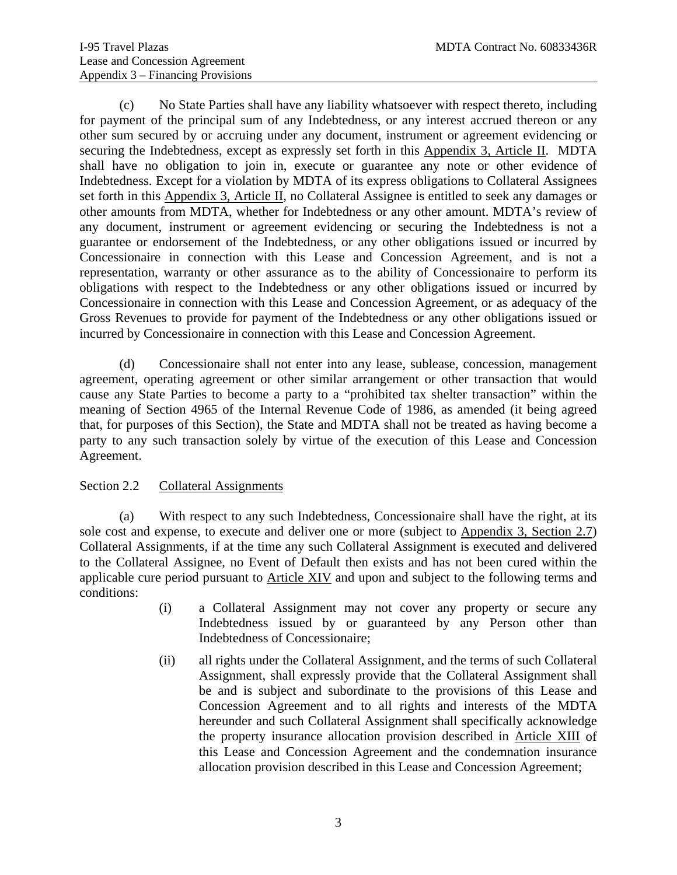(c) No State Parties shall have any liability whatsoever with respect thereto, including for payment of the principal sum of any Indebtedness, or any interest accrued thereon or any other sum secured by or accruing under any document, instrument or agreement evidencing or securing the Indebtedness, except as expressly set forth in this Appendix 3, Article II. MDTA shall have no obligation to join in, execute or guarantee any note or other evidence of Indebtedness. Except for a violation by MDTA of its express obligations to Collateral Assignees set forth in this Appendix 3, Article II, no Collateral Assignee is entitled to seek any damages or other amounts from MDTA, whether for Indebtedness or any other amount. MDTA's review of any document, instrument or agreement evidencing or securing the Indebtedness is not a guarantee or endorsement of the Indebtedness, or any other obligations issued or incurred by Concessionaire in connection with this Lease and Concession Agreement, and is not a representation, warranty or other assurance as to the ability of Concessionaire to perform its obligations with respect to the Indebtedness or any other obligations issued or incurred by Concessionaire in connection with this Lease and Concession Agreement, or as adequacy of the Gross Revenues to provide for payment of the Indebtedness or any other obligations issued or incurred by Concessionaire in connection with this Lease and Concession Agreement.

 (d) Concessionaire shall not enter into any lease, sublease, concession, management agreement, operating agreement or other similar arrangement or other transaction that would cause any State Parties to become a party to a "prohibited tax shelter transaction" within the meaning of Section 4965 of the Internal Revenue Code of 1986, as amended (it being agreed that, for purposes of this Section), the State and MDTA shall not be treated as having become a party to any such transaction solely by virtue of the execution of this Lease and Concession Agreement.

### <span id="page-35-0"></span>Section 2.2 Collateral Assignments

 (a) With respect to any such Indebtedness, Concessionaire shall have the right, at its sole cost and expense, to execute and deliver one or more (subject to Appendix 3, Section 2.7) Collateral Assignments, if at the time any such Collateral Assignment is executed and delivered to the Collateral Assignee, no Event of Default then exists and has not been cured within the applicable cure period pursuant to Article XIV and upon and subject to the following terms and conditions:

- (i) a Collateral Assignment may not cover any property or secure any Indebtedness issued by or guaranteed by any Person other than Indebtedness of Concessionaire;
- (ii) all rights under the Collateral Assignment, and the terms of such Collateral Assignment, shall expressly provide that the Collateral Assignment shall be and is subject and subordinate to the provisions of this Lease and Concession Agreement and to all rights and interests of the MDTA hereunder and such Collateral Assignment shall specifically acknowledge the property insurance allocation provision described in Article XIII of this Lease and Concession Agreement and the condemnation insurance allocation provision described in this Lease and Concession Agreement;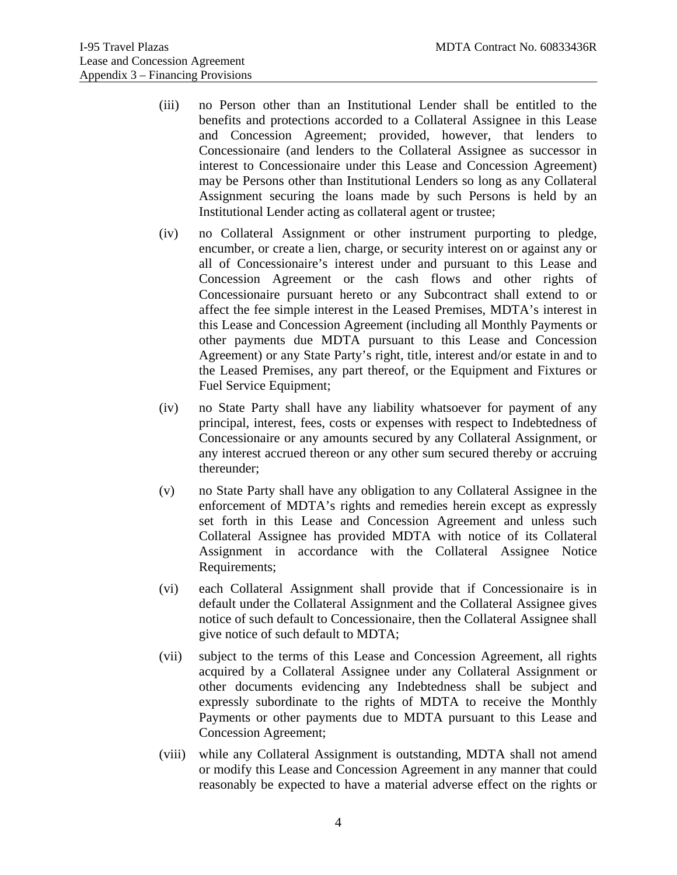- (iii) no Person other than an Institutional Lender shall be entitled to the benefits and protections accorded to a Collateral Assignee in this Lease and Concession Agreement; provided, however, that lenders to Concessionaire (and lenders to the Collateral Assignee as successor in interest to Concessionaire under this Lease and Concession Agreement) may be Persons other than Institutional Lenders so long as any Collateral Assignment securing the loans made by such Persons is held by an Institutional Lender acting as collateral agent or trustee;
- (iv) no Collateral Assignment or other instrument purporting to pledge, encumber, or create a lien, charge, or security interest on or against any or all of Concessionaire's interest under and pursuant to this Lease and Concession Agreement or the cash flows and other rights of Concessionaire pursuant hereto or any Subcontract shall extend to or affect the fee simple interest in the Leased Premises, MDTA's interest in this Lease and Concession Agreement (including all Monthly Payments or other payments due MDTA pursuant to this Lease and Concession Agreement) or any State Party's right, title, interest and/or estate in and to the Leased Premises, any part thereof, or the Equipment and Fixtures or Fuel Service Equipment;
- (iv) no State Party shall have any liability whatsoever for payment of any principal, interest, fees, costs or expenses with respect to Indebtedness of Concessionaire or any amounts secured by any Collateral Assignment, or any interest accrued thereon or any other sum secured thereby or accruing thereunder;
- (v) no State Party shall have any obligation to any Collateral Assignee in the enforcement of MDTA's rights and remedies herein except as expressly set forth in this Lease and Concession Agreement and unless such Collateral Assignee has provided MDTA with notice of its Collateral Assignment in accordance with the Collateral Assignee Notice Requirements;
- (vi) each Collateral Assignment shall provide that if Concessionaire is in default under the Collateral Assignment and the Collateral Assignee gives notice of such default to Concessionaire, then the Collateral Assignee shall give notice of such default to MDTA;
- (vii) subject to the terms of this Lease and Concession Agreement, all rights acquired by a Collateral Assignee under any Collateral Assignment or other documents evidencing any Indebtedness shall be subject and expressly subordinate to the rights of MDTA to receive the Monthly Payments or other payments due to MDTA pursuant to this Lease and Concession Agreement;
- (viii) while any Collateral Assignment is outstanding, MDTA shall not amend or modify this Lease and Concession Agreement in any manner that could reasonably be expected to have a material adverse effect on the rights or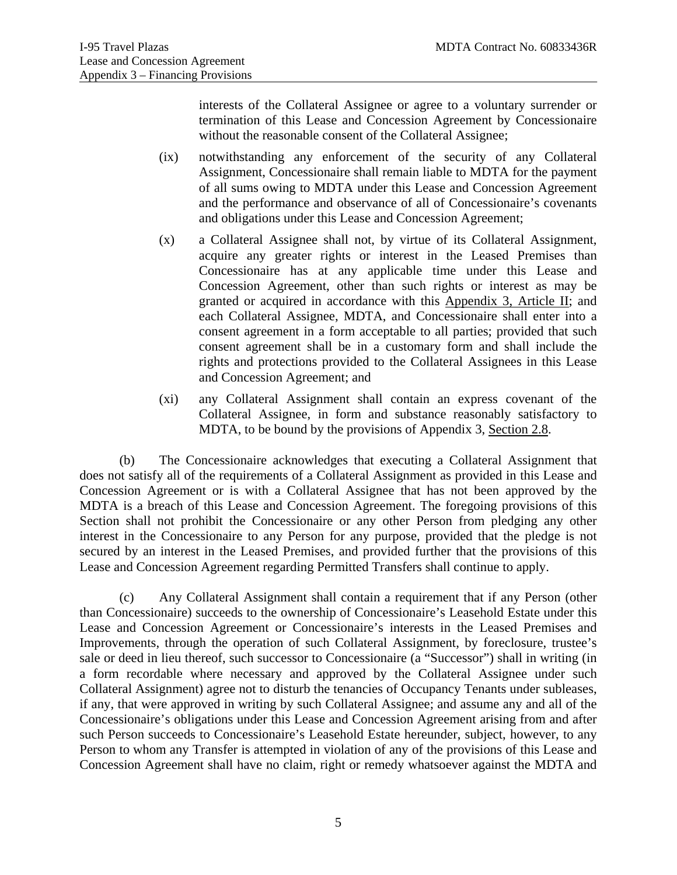interests of the Collateral Assignee or agree to a voluntary surrender or termination of this Lease and Concession Agreement by Concessionaire without the reasonable consent of the Collateral Assignee;

- (ix) notwithstanding any enforcement of the security of any Collateral Assignment, Concessionaire shall remain liable to MDTA for the payment of all sums owing to MDTA under this Lease and Concession Agreement and the performance and observance of all of Concessionaire's covenants and obligations under this Lease and Concession Agreement;
- (x) a Collateral Assignee shall not, by virtue of its Collateral Assignment, acquire any greater rights or interest in the Leased Premises than Concessionaire has at any applicable time under this Lease and Concession Agreement, other than such rights or interest as may be granted or acquired in accordance with this Appendix 3, Article II; and each Collateral Assignee, MDTA, and Concessionaire shall enter into a consent agreement in a form acceptable to all parties; provided that such consent agreement shall be in a customary form and shall include the rights and protections provided to the Collateral Assignees in this Lease and Concession Agreement; and
- (xi) any Collateral Assignment shall contain an express covenant of the Collateral Assignee, in form and substance reasonably satisfactory to MDTA, to be bound by the provisions of Appendix 3, Section 2.8.

(b) The Concessionaire acknowledges that executing a Collateral Assignment that does not satisfy all of the requirements of a Collateral Assignment as provided in this Lease and Concession Agreement or is with a Collateral Assignee that has not been approved by the MDTA is a breach of this Lease and Concession Agreement. The foregoing provisions of this Section shall not prohibit the Concessionaire or any other Person from pledging any other interest in the Concessionaire to any Person for any purpose, provided that the pledge is not secured by an interest in the Leased Premises, and provided further that the provisions of this Lease and Concession Agreement regarding Permitted Transfers shall continue to apply.

(c) Any Collateral Assignment shall contain a requirement that if any Person (other than Concessionaire) succeeds to the ownership of Concessionaire's Leasehold Estate under this Lease and Concession Agreement or Concessionaire's interests in the Leased Premises and Improvements, through the operation of such Collateral Assignment, by foreclosure, trustee's sale or deed in lieu thereof, such successor to Concessionaire (a "Successor") shall in writing (in a form recordable where necessary and approved by the Collateral Assignee under such Collateral Assignment) agree not to disturb the tenancies of Occupancy Tenants under subleases, if any, that were approved in writing by such Collateral Assignee; and assume any and all of the Concessionaire's obligations under this Lease and Concession Agreement arising from and after such Person succeeds to Concessionaire's Leasehold Estate hereunder, subject, however, to any Person to whom any Transfer is attempted in violation of any of the provisions of this Lease and Concession Agreement shall have no claim, right or remedy whatsoever against the MDTA and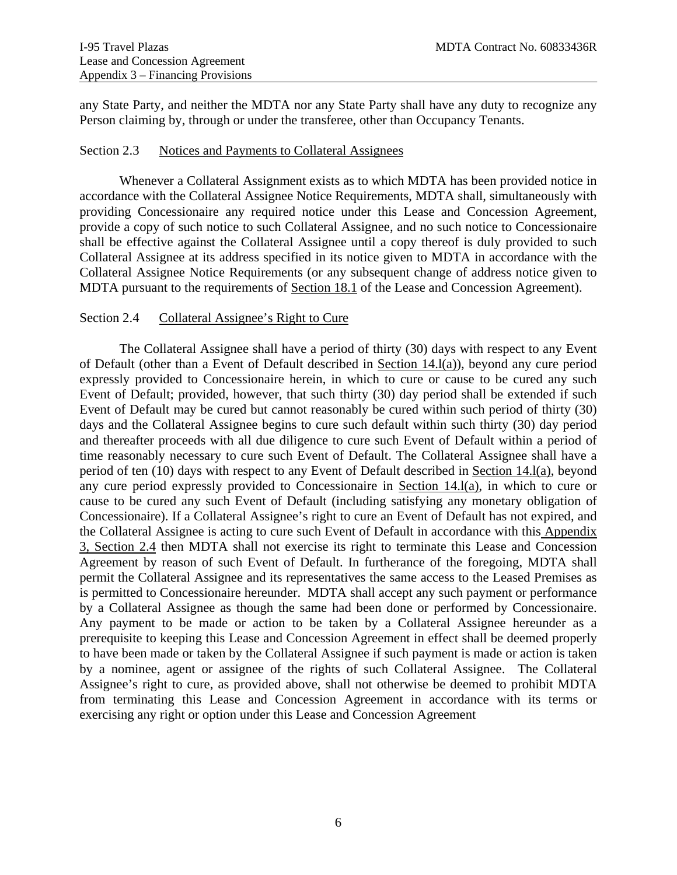any State Party, and neither the MDTA nor any State Party shall have any duty to recognize any Person claiming by, through or under the transferee, other than Occupancy Tenants.

#### <span id="page-38-0"></span>Section 2.3 Notices and Payments to Collateral Assignees

 Whenever a Collateral Assignment exists as to which MDTA has been provided notice in accordance with the Collateral Assignee Notice Requirements, MDTA shall, simultaneously with providing Concessionaire any required notice under this Lease and Concession Agreement, provide a copy of such notice to such Collateral Assignee, and no such notice to Concessionaire shall be effective against the Collateral Assignee until a copy thereof is duly provided to such Collateral Assignee at its address specified in its notice given to MDTA in accordance with the Collateral Assignee Notice Requirements (or any subsequent change of address notice given to MDTA pursuant to the requirements of Section 18.1 of the Lease and Concession Agreement).

#### <span id="page-38-1"></span>Section 2.4 Collateral Assignee's Right to Cure

 The Collateral Assignee shall have a period of thirty (30) days with respect to any Event of Default (other than a Event of Default described in Section 14.l(a)), beyond any cure period expressly provided to Concessionaire herein, in which to cure or cause to be cured any such Event of Default; provided, however, that such thirty (30) day period shall be extended if such Event of Default may be cured but cannot reasonably be cured within such period of thirty (30) days and the Collateral Assignee begins to cure such default within such thirty (30) day period and thereafter proceeds with all due diligence to cure such Event of Default within a period of time reasonably necessary to cure such Event of Default. The Collateral Assignee shall have a period of ten (10) days with respect to any Event of Default described in Section 14.l(a), beyond any cure period expressly provided to Concessionaire in Section 14.l(a), in which to cure or cause to be cured any such Event of Default (including satisfying any monetary obligation of Concessionaire). If a Collateral Assignee's right to cure an Event of Default has not expired, and the Collateral Assignee is acting to cure such Event of Default in accordance with this Appendix 3, Section 2.4 then MDTA shall not exercise its right to terminate this Lease and Concession Agreement by reason of such Event of Default. In furtherance of the foregoing, MDTA shall permit the Collateral Assignee and its representatives the same access to the Leased Premises as is permitted to Concessionaire hereunder. MDTA shall accept any such payment or performance by a Collateral Assignee as though the same had been done or performed by Concessionaire. Any payment to be made or action to be taken by a Collateral Assignee hereunder as a prerequisite to keeping this Lease and Concession Agreement in effect shall be deemed properly to have been made or taken by the Collateral Assignee if such payment is made or action is taken by a nominee, agent or assignee of the rights of such Collateral Assignee. The Collateral Assignee's right to cure, as provided above, shall not otherwise be deemed to prohibit MDTA from terminating this Lease and Concession Agreement in accordance with its terms or exercising any right or option under this Lease and Concession Agreement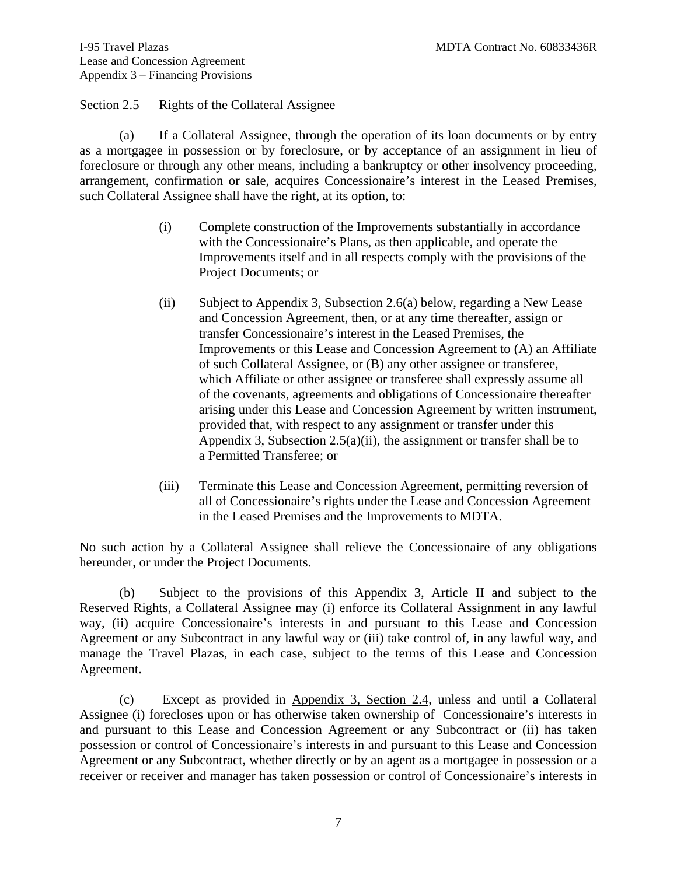#### <span id="page-39-0"></span>Section 2.5 Rights of the Collateral Assignee

(a) If a Collateral Assignee, through the operation of its loan documents or by entry as a mortgagee in possession or by foreclosure, or by acceptance of an assignment in lieu of foreclosure or through any other means, including a bankruptcy or other insolvency proceeding, arrangement, confirmation or sale, acquires Concessionaire's interest in the Leased Premises, such Collateral Assignee shall have the right, at its option, to:

- (i) Complete construction of the Improvements substantially in accordance with the Concessionaire's Plans, as then applicable, and operate the Improvements itself and in all respects comply with the provisions of the Project Documents; or
- (ii) Subject to Appendix 3, Subsection  $2.6(a)$  below, regarding a New Lease and Concession Agreement, then, or at any time thereafter, assign or transfer Concessionaire's interest in the Leased Premises, the Improvements or this Lease and Concession Agreement to (A) an Affiliate of such Collateral Assignee, or (B) any other assignee or transferee, which Affiliate or other assignee or transferee shall expressly assume all of the covenants, agreements and obligations of Concessionaire thereafter arising under this Lease and Concession Agreement by written instrument, provided that, with respect to any assignment or transfer under this Appendix 3, Subsection 2.5(a)(ii), the assignment or transfer shall be to a Permitted Transferee; or
- (iii) Terminate this Lease and Concession Agreement, permitting reversion of all of Concessionaire's rights under the Lease and Concession Agreement in the Leased Premises and the Improvements to MDTA.

No such action by a Collateral Assignee shall relieve the Concessionaire of any obligations hereunder, or under the Project Documents.

(b) Subject to the provisions of this Appendix 3, Article II and subject to the Reserved Rights, a Collateral Assignee may (i) enforce its Collateral Assignment in any lawful way, (ii) acquire Concessionaire's interests in and pursuant to this Lease and Concession Agreement or any Subcontract in any lawful way or (iii) take control of, in any lawful way, and manage the Travel Plazas, in each case, subject to the terms of this Lease and Concession Agreement.

 (c) Except as provided in Appendix 3, Section 2.4, unless and until a Collateral Assignee (i) forecloses upon or has otherwise taken ownership of Concessionaire's interests in and pursuant to this Lease and Concession Agreement or any Subcontract or (ii) has taken possession or control of Concessionaire's interests in and pursuant to this Lease and Concession Agreement or any Subcontract, whether directly or by an agent as a mortgagee in possession or a receiver or receiver and manager has taken possession or control of Concessionaire's interests in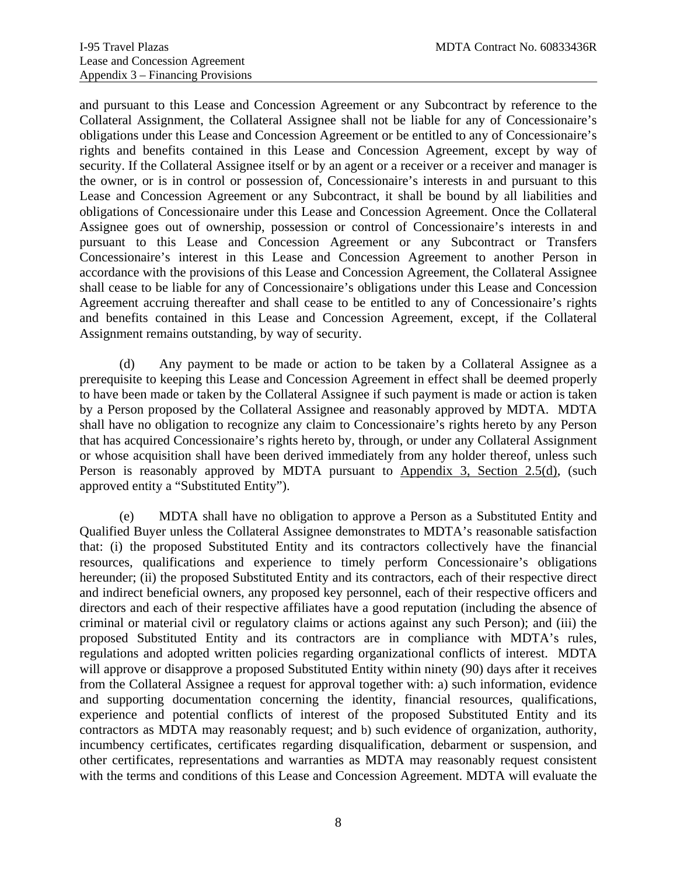and pursuant to this Lease and Concession Agreement or any Subcontract by reference to the Collateral Assignment, the Collateral Assignee shall not be liable for any of Concessionaire's obligations under this Lease and Concession Agreement or be entitled to any of Concessionaire's rights and benefits contained in this Lease and Concession Agreement, except by way of security. If the Collateral Assignee itself or by an agent or a receiver or a receiver and manager is the owner, or is in control or possession of, Concessionaire's interests in and pursuant to this Lease and Concession Agreement or any Subcontract, it shall be bound by all liabilities and obligations of Concessionaire under this Lease and Concession Agreement. Once the Collateral Assignee goes out of ownership, possession or control of Concessionaire's interests in and pursuant to this Lease and Concession Agreement or any Subcontract or Transfers Concessionaire's interest in this Lease and Concession Agreement to another Person in accordance with the provisions of this Lease and Concession Agreement, the Collateral Assignee shall cease to be liable for any of Concessionaire's obligations under this Lease and Concession Agreement accruing thereafter and shall cease to be entitled to any of Concessionaire's rights and benefits contained in this Lease and Concession Agreement, except, if the Collateral Assignment remains outstanding, by way of security.

 (d) Any payment to be made or action to be taken by a Collateral Assignee as a prerequisite to keeping this Lease and Concession Agreement in effect shall be deemed properly to have been made or taken by the Collateral Assignee if such payment is made or action is taken by a Person proposed by the Collateral Assignee and reasonably approved by MDTA. MDTA shall have no obligation to recognize any claim to Concessionaire's rights hereto by any Person that has acquired Concessionaire's rights hereto by, through, or under any Collateral Assignment or whose acquisition shall have been derived immediately from any holder thereof, unless such Person is reasonably approved by MDTA pursuant to Appendix 3, Section 2.5(d), (such approved entity a "Substituted Entity").

 (e) MDTA shall have no obligation to approve a Person as a Substituted Entity and Qualified Buyer unless the Collateral Assignee demonstrates to MDTA's reasonable satisfaction that: (i) the proposed Substituted Entity and its contractors collectively have the financial resources, qualifications and experience to timely perform Concessionaire's obligations hereunder; (ii) the proposed Substituted Entity and its contractors, each of their respective direct and indirect beneficial owners, any proposed key personnel, each of their respective officers and directors and each of their respective affiliates have a good reputation (including the absence of criminal or material civil or regulatory claims or actions against any such Person); and (iii) the proposed Substituted Entity and its contractors are in compliance with MDTA's rules, regulations and adopted written policies regarding organizational conflicts of interest. MDTA will approve or disapprove a proposed Substituted Entity within ninety (90) days after it receives from the Collateral Assignee a request for approval together with: a) such information, evidence and supporting documentation concerning the identity, financial resources, qualifications, experience and potential conflicts of interest of the proposed Substituted Entity and its contractors as MDTA may reasonably request; and b) such evidence of organization, authority, incumbency certificates, certificates regarding disqualification, debarment or suspension, and other certificates, representations and warranties as MDTA may reasonably request consistent with the terms and conditions of this Lease and Concession Agreement. MDTA will evaluate the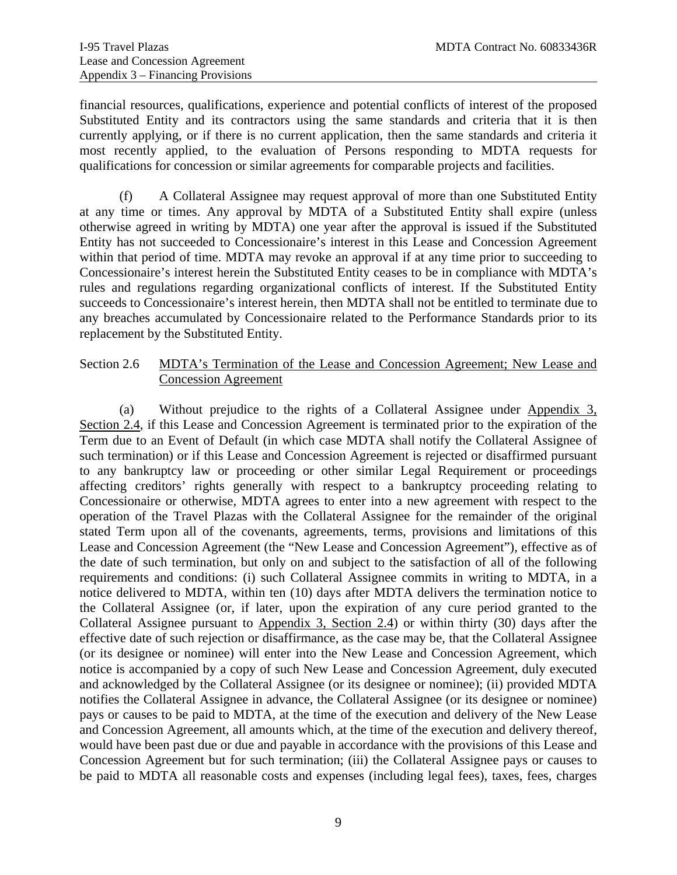financial resources, qualifications, experience and potential conflicts of interest of the proposed Substituted Entity and its contractors using the same standards and criteria that it is then currently applying, or if there is no current application, then the same standards and criteria it most recently applied, to the evaluation of Persons responding to MDTA requests for qualifications for concession or similar agreements for comparable projects and facilities.

 (f) A Collateral Assignee may request approval of more than one Substituted Entity at any time or times. Any approval by MDTA of a Substituted Entity shall expire (unless otherwise agreed in writing by MDTA) one year after the approval is issued if the Substituted Entity has not succeeded to Concessionaire's interest in this Lease and Concession Agreement within that period of time. MDTA may revoke an approval if at any time prior to succeeding to Concessionaire's interest herein the Substituted Entity ceases to be in compliance with MDTA's rules and regulations regarding organizational conflicts of interest. If the Substituted Entity succeeds to Concessionaire's interest herein, then MDTA shall not be entitled to terminate due to any breaches accumulated by Concessionaire related to the Performance Standards prior to its replacement by the Substituted Entity.

#### <span id="page-41-0"></span>Section 2.6 MDTA's Termination of the Lease and Concession Agreement; New Lease and Concession Agreement

 (a) Without prejudice to the rights of a Collateral Assignee under Appendix 3, Section 2.4, if this Lease and Concession Agreement is terminated prior to the expiration of the Term due to an Event of Default (in which case MDTA shall notify the Collateral Assignee of such termination) or if this Lease and Concession Agreement is rejected or disaffirmed pursuant to any bankruptcy law or proceeding or other similar Legal Requirement or proceedings affecting creditors' rights generally with respect to a bankruptcy proceeding relating to Concessionaire or otherwise, MDTA agrees to enter into a new agreement with respect to the operation of the Travel Plazas with the Collateral Assignee for the remainder of the original stated Term upon all of the covenants, agreements, terms, provisions and limitations of this Lease and Concession Agreement (the "New Lease and Concession Agreement"), effective as of the date of such termination, but only on and subject to the satisfaction of all of the following requirements and conditions: (i) such Collateral Assignee commits in writing to MDTA, in a notice delivered to MDTA, within ten (10) days after MDTA delivers the termination notice to the Collateral Assignee (or, if later, upon the expiration of any cure period granted to the Collateral Assignee pursuant to Appendix 3, Section 2.4) or within thirty (30) days after the effective date of such rejection or disaffirmance, as the case may be, that the Collateral Assignee (or its designee or nominee) will enter into the New Lease and Concession Agreement, which notice is accompanied by a copy of such New Lease and Concession Agreement, duly executed and acknowledged by the Collateral Assignee (or its designee or nominee); (ii) provided MDTA notifies the Collateral Assignee in advance, the Collateral Assignee (or its designee or nominee) pays or causes to be paid to MDTA, at the time of the execution and delivery of the New Lease and Concession Agreement, all amounts which, at the time of the execution and delivery thereof, would have been past due or due and payable in accordance with the provisions of this Lease and Concession Agreement but for such termination; (iii) the Collateral Assignee pays or causes to be paid to MDTA all reasonable costs and expenses (including legal fees), taxes, fees, charges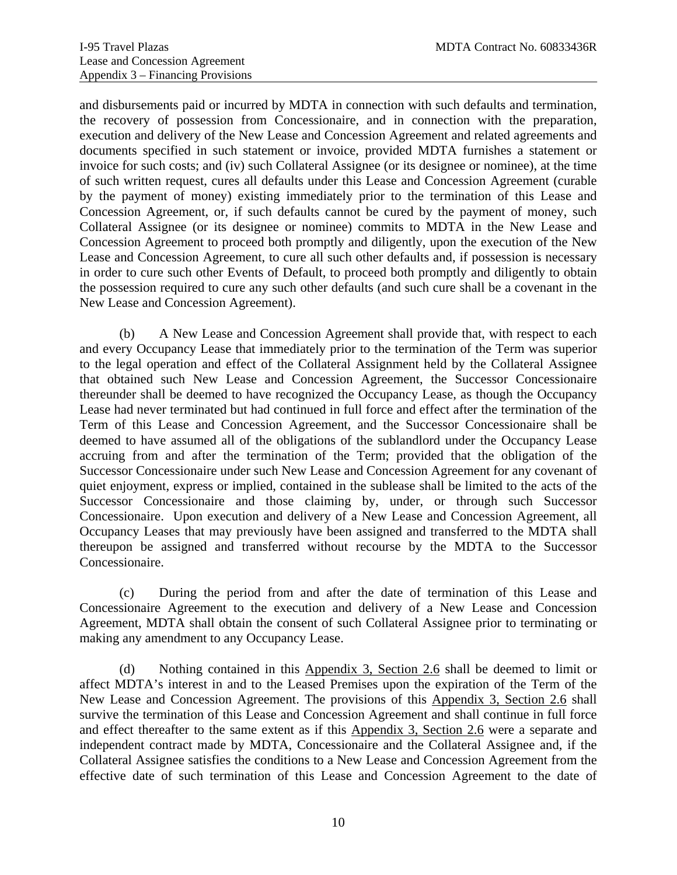and disbursements paid or incurred by MDTA in connection with such defaults and termination, the recovery of possession from Concessionaire, and in connection with the preparation, execution and delivery of the New Lease and Concession Agreement and related agreements and documents specified in such statement or invoice, provided MDTA furnishes a statement or invoice for such costs; and (iv) such Collateral Assignee (or its designee or nominee), at the time of such written request, cures all defaults under this Lease and Concession Agreement (curable by the payment of money) existing immediately prior to the termination of this Lease and Concession Agreement, or, if such defaults cannot be cured by the payment of money, such Collateral Assignee (or its designee or nominee) commits to MDTA in the New Lease and Concession Agreement to proceed both promptly and diligently, upon the execution of the New Lease and Concession Agreement, to cure all such other defaults and, if possession is necessary in order to cure such other Events of Default, to proceed both promptly and diligently to obtain the possession required to cure any such other defaults (and such cure shall be a covenant in the New Lease and Concession Agreement).

 (b) A New Lease and Concession Agreement shall provide that, with respect to each and every Occupancy Lease that immediately prior to the termination of the Term was superior to the legal operation and effect of the Collateral Assignment held by the Collateral Assignee that obtained such New Lease and Concession Agreement, the Successor Concessionaire thereunder shall be deemed to have recognized the Occupancy Lease, as though the Occupancy Lease had never terminated but had continued in full force and effect after the termination of the Term of this Lease and Concession Agreement, and the Successor Concessionaire shall be deemed to have assumed all of the obligations of the sublandlord under the Occupancy Lease accruing from and after the termination of the Term; provided that the obligation of the Successor Concessionaire under such New Lease and Concession Agreement for any covenant of quiet enjoyment, express or implied, contained in the sublease shall be limited to the acts of the Successor Concessionaire and those claiming by, under, or through such Successor Concessionaire. Upon execution and delivery of a New Lease and Concession Agreement, all Occupancy Leases that may previously have been assigned and transferred to the MDTA shall thereupon be assigned and transferred without recourse by the MDTA to the Successor Concessionaire.

(c) During the period from and after the date of termination of this Lease and Concessionaire Agreement to the execution and delivery of a New Lease and Concession Agreement, MDTA shall obtain the consent of such Collateral Assignee prior to terminating or making any amendment to any Occupancy Lease.

(d) Nothing contained in this Appendix 3, Section 2.6 shall be deemed to limit or affect MDTA's interest in and to the Leased Premises upon the expiration of the Term of the New Lease and Concession Agreement. The provisions of this Appendix 3, Section 2.6 shall survive the termination of this Lease and Concession Agreement and shall continue in full force and effect thereafter to the same extent as if this Appendix 3, Section 2.6 were a separate and independent contract made by MDTA, Concessionaire and the Collateral Assignee and, if the Collateral Assignee satisfies the conditions to a New Lease and Concession Agreement from the effective date of such termination of this Lease and Concession Agreement to the date of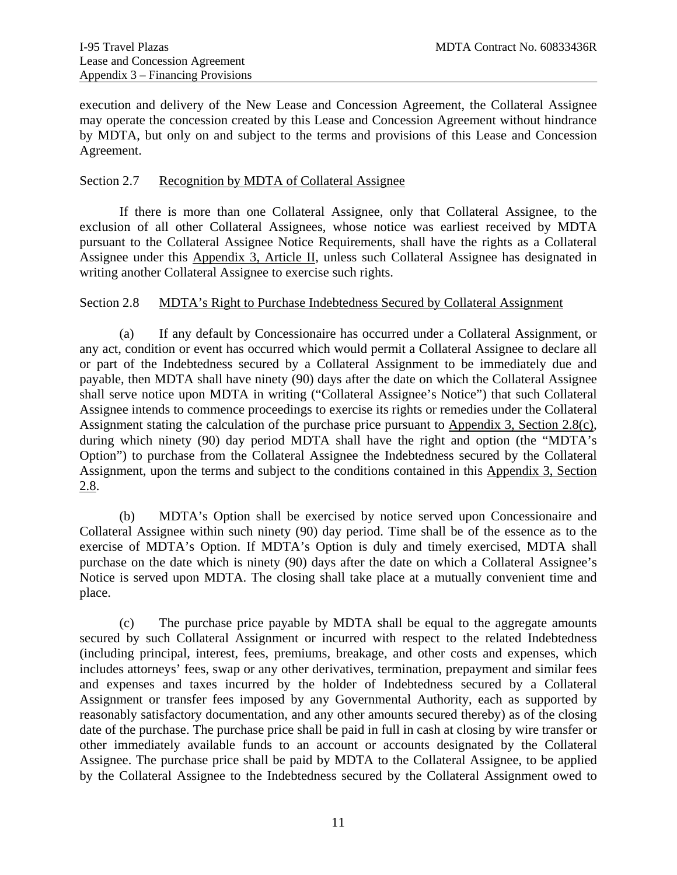execution and delivery of the New Lease and Concession Agreement, the Collateral Assignee may operate the concession created by this Lease and Concession Agreement without hindrance by MDTA, but only on and subject to the terms and provisions of this Lease and Concession Agreement.

#### <span id="page-43-0"></span>Section 2.7 Recognition by MDTA of Collateral Assignee

 If there is more than one Collateral Assignee, only that Collateral Assignee, to the exclusion of all other Collateral Assignees, whose notice was earliest received by MDTA pursuant to the Collateral Assignee Notice Requirements, shall have the rights as a Collateral Assignee under this Appendix 3, Article II, unless such Collateral Assignee has designated in writing another Collateral Assignee to exercise such rights.

#### <span id="page-43-1"></span>Section 2.8 MDTA's Right to Purchase Indebtedness Secured by Collateral Assignment

 (a) If any default by Concessionaire has occurred under a Collateral Assignment, or any act, condition or event has occurred which would permit a Collateral Assignee to declare all or part of the Indebtedness secured by a Collateral Assignment to be immediately due and payable, then MDTA shall have ninety (90) days after the date on which the Collateral Assignee shall serve notice upon MDTA in writing ("Collateral Assignee's Notice") that such Collateral Assignee intends to commence proceedings to exercise its rights or remedies under the Collateral Assignment stating the calculation of the purchase price pursuant to Appendix 3, Section 2.8(c), during which ninety (90) day period MDTA shall have the right and option (the "MDTA's Option") to purchase from the Collateral Assignee the Indebtedness secured by the Collateral Assignment, upon the terms and subject to the conditions contained in this Appendix 3, Section 2.8.

(b) MDTA's Option shall be exercised by notice served upon Concessionaire and Collateral Assignee within such ninety (90) day period. Time shall be of the essence as to the exercise of MDTA's Option. If MDTA's Option is duly and timely exercised, MDTA shall purchase on the date which is ninety (90) days after the date on which a Collateral Assignee's Notice is served upon MDTA. The closing shall take place at a mutually convenient time and place.

(c) The purchase price payable by MDTA shall be equal to the aggregate amounts secured by such Collateral Assignment or incurred with respect to the related Indebtedness (including principal, interest, fees, premiums, breakage, and other costs and expenses, which includes attorneys' fees, swap or any other derivatives, termination, prepayment and similar fees and expenses and taxes incurred by the holder of Indebtedness secured by a Collateral Assignment or transfer fees imposed by any Governmental Authority, each as supported by reasonably satisfactory documentation, and any other amounts secured thereby) as of the closing date of the purchase. The purchase price shall be paid in full in cash at closing by wire transfer or other immediately available funds to an account or accounts designated by the Collateral Assignee. The purchase price shall be paid by MDTA to the Collateral Assignee, to be applied by the Collateral Assignee to the Indebtedness secured by the Collateral Assignment owed to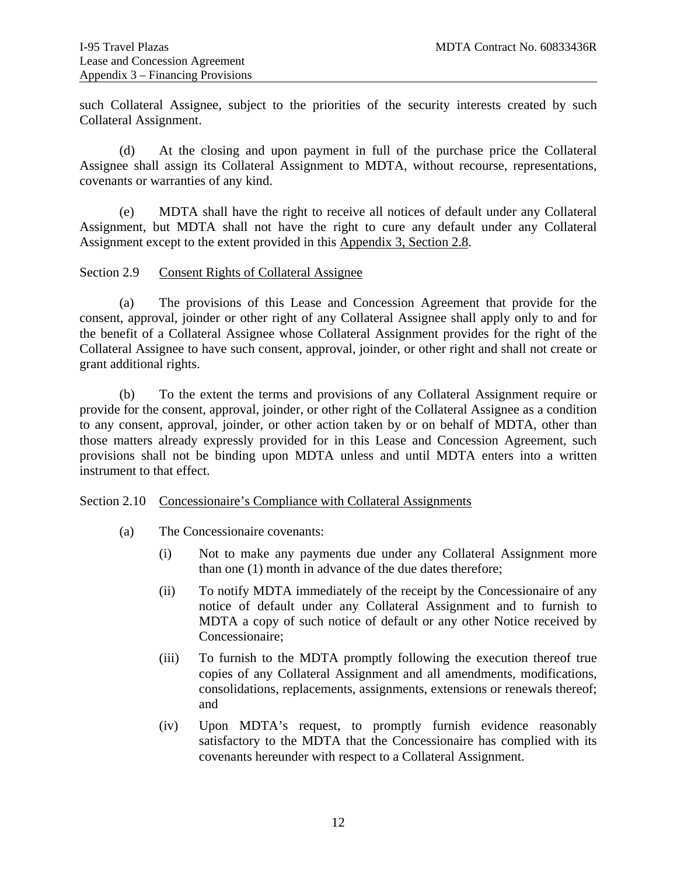such Collateral Assignee, subject to the priorities of the security interests created by such Collateral Assignment.

(d) At the closing and upon payment in full of the purchase price the Collateral Assignee shall assign its Collateral Assignment to MDTA, without recourse, representations, covenants or warranties of any kind.

(e) MDTA shall have the right to receive all notices of default under any Collateral Assignment, but MDTA shall not have the right to cure any default under any Collateral Assignment except to the extent provided in this Appendix 3, Section 2.8.

#### <span id="page-44-0"></span>Section 2.9 Consent Rights of Collateral Assignee

 (a) The provisions of this Lease and Concession Agreement that provide for the consent, approval, joinder or other right of any Collateral Assignee shall apply only to and for the benefit of a Collateral Assignee whose Collateral Assignment provides for the right of the Collateral Assignee to have such consent, approval, joinder, or other right and shall not create or grant additional rights.

 (b) To the extent the terms and provisions of any Collateral Assignment require or provide for the consent, approval, joinder, or other right of the Collateral Assignee as a condition to any consent, approval, joinder, or other action taken by or on behalf of MDTA, other than those matters already expressly provided for in this Lease and Concession Agreement, such provisions shall not be binding upon MDTA unless and until MDTA enters into a written instrument to that effect.

#### <span id="page-44-1"></span>Section 2.10 Concessionaire's Compliance with Collateral Assignments

- (a) The Concessionaire covenants:
	- (i) Not to make any payments due under any Collateral Assignment more than one (1) month in advance of the due dates therefore;
	- (ii) To notify MDTA immediately of the receipt by the Concessionaire of any notice of default under any Collateral Assignment and to furnish to MDTA a copy of such notice of default or any other Notice received by Concessionaire;
	- (iii) To furnish to the MDTA promptly following the execution thereof true copies of any Collateral Assignment and all amendments, modifications, consolidations, replacements, assignments, extensions or renewals thereof; and
	- (iv) Upon MDTA's request, to promptly furnish evidence reasonably satisfactory to the MDTA that the Concessionaire has complied with its covenants hereunder with respect to a Collateral Assignment.